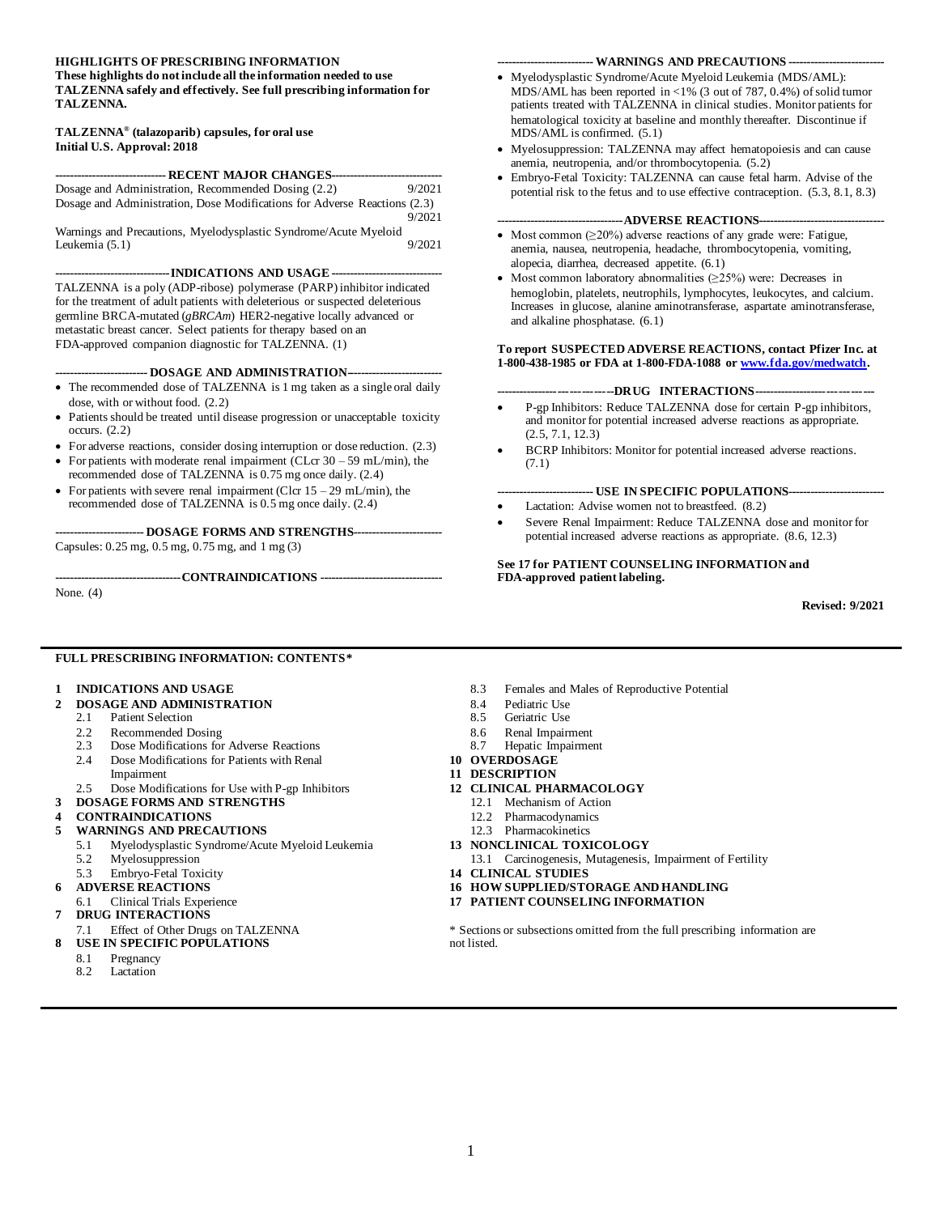#### **HIGHLIGHTS OF PRESCRIBING INFORMATION**

**These highlights do not include all the information needed to use TALZENNA safely and effectively. See full prescribing information for TALZENNA.**

#### **TALZENNA® (talazoparib) capsules, for oral use Initial U.S. Approval: 2018**

| ------------------------------ RECENT MAJOR CHANGES------------------------------ |        |  |  |  |
|-----------------------------------------------------------------------------------|--------|--|--|--|
| Dosage and Administration, Recommended Dosing (2.2)                               | 9/2021 |  |  |  |
| Dosage and Administration, Dose Modifications for Adverse Reactions (2.3)         |        |  |  |  |
|                                                                                   | 9/2021 |  |  |  |

Warnings and Precautions, Myelodysplastic Syndrome/Acute Myeloid<br>Leukemia (5.1) 9/2021 Leukemia  $(5.1)$ 

**-------------------------------INDICATIONS AND USAGE------------------------------**

TALZENNA is a poly (ADP-ribose) polymerase (PARP) inhibitor indicated for the treatment of adult patients with deleterious or suspected deleterious germline BRCA-mutated (*gBRCAm*) HER2-negative locally advanced or metastatic breast cancer. Select patients for therapy based on an FDA-approved companion diagnostic for TALZENNA. (1)

**------------------------- DOSAGE AND ADMINISTRATION--------------------------**

- The recommended dose of TALZENNA is 1 mg taken as a single oral daily dose, with or without food. (2.2)
- Patients should be treated until disease progression or unacceptable toxicity occurs. (2.2)

• For adverse reactions, consider dosing interruption or dose reduction. (2.3)

- For patients with moderate renal impairment (CLcr  $30 59$  mL/min), the recommended dose of TALZENNA is 0.75 mg once daily. (2.4)
- For patients with severe renal impairment (Clcr  $15 29$  mL/min), the recommended dose of TALZENNA is 0.5 mg once daily. (2.4)

**------------------------ DOSAGE FORMS AND STRENGTHS------------------------** Capsules: 0.25 mg, 0.5 mg, 0.75 mg, and 1 mg (3)

**----------------------------------CONTRAINDICATIONS ---------------------------------**

None. (4)

#### **-------------------------- WARNINGS AND PRECAUTIONS --------------------------**

- Myelodysplastic Syndrome/Acute Myeloid Leukemia (MDS/AML): MDS/AML has been reported in <1% (3 out of 787, 0.4%) of solid tumor patients treated with TALZENNA in clinical studies. Monitor patients for hematological toxicity at baseline and monthly thereafter. Discontinue if MDS/AML is confirmed. (5.1)
- Myelosuppression: TALZENNA may affect hematopoiesis and can cause anemia, neutropenia, and/or thrombocytopenia. (5.2)
- Embryo-Fetal Toxicity: TALZENNA can cause fetal harm. Advise of the potential risk to the fetus and to use effective contraception. (5.3, 8.1, 8.3)

#### **----------------------------------ADVERSE REACTIONS----------------------------------**

- Most common  $(\geq 20\%)$  adverse reactions of any grade were: Fatigue, anemia, nausea, neutropenia, headache, thrombocytopenia, vomiting, alopecia, diarrhea, decreased appetite. (6.1)
- Most common laboratory abnormalities (≥25%) were: Decreases in hemoglobin, platelets, neutrophils, lymphocytes, leukocytes, and calcium. Increases in glucose, alanine aminotransferase, aspartate aminotransferase, and alkaline phosphatase. (6.1)

#### **To report SUSPECTED ADVERSE REACTIONS, contact Pfizer Inc. at 1-800-438-1985 or FDA at 1-800-FDA-1088 o[r www.fda.gov/medwatch.](http://www.fda.gov/medwatch)**

#### **------------------------------DRUG INTERACTIONS-------------------------------**

- P-gp Inhibitors: Reduce TALZENNA dose for certain P-gp inhibitors, and monitor for potential increased adverse reactions as appropriate. (2.5, 7.1, 12.3)
- BCRP Inhibitors: Monitor for potential increased adverse reactions. (7.1)

#### **-------------------------- USE IN SPECIFIC POPULATIONS--------------------------**

- Lactation: Advise women not to breastfeed. (8.2)
- Severe Renal Impairment: Reduce TALZENNA dose and monitor for potential increased adverse reactions as appropriate. (8.6, 12.3)

**See 17 for PATIENT COUNSELING INFORMATION and FDA-approved patient labeling.**

**Revised: 9/2021**

#### **FULL PRESCRIBING INFORMATION: CONTENTS\***

#### **1 INDICATIONS AND USAGE**

- **2 DOSAGE AND ADMINISTRATION**
	- 2.1 Patient Selection
	- 2.2 Recommended Dosing<br>2.3 Dose Modifications for
	- Dose Modifications for Adverse Reactions
	- 2.4 Dose Modifications for Patients with Renal Impairment
	- 2.5 Dose Modifications for Use with P-gp Inhibitors
- **3 DOSAGE FORMS AND STRENGTHS**
- **4 CONTRAINDICATIONS**

#### **5 WARNINGS AND PRECAUTIONS**

- 5.1 Myelodysplastic Syndrome/Acute Myeloid Leukemia
- 5.2 Myelosuppression
- 5.3 Embryo-Fetal Toxicity
- **6 ADVERSE REACTIONS**
- 6.1 Clinical Trials Experience
- **7 DRUG INTERACTIONS**
- 7.1 Effect of Other Drugs on TALZENNA
- **8 USE IN SPECIFIC POPULATIONS**
	- 8.1 Pregnancy<br>8.2 Lactation
	- Lactation
- 8.3 Females and Males of Reproductive Potential
- 8.4 Pediatric Use
- 8.5 Geriatric Use
- 8.6 Renal Impairment
- 8.7 Hepatic Impairment
- **10 OVERDOSAGE**
- **11 DESCRIPTION**
- **12 CLINICAL PHARMACOLOGY**
	- 12.1 Mechanism of Action
	- 12.2 Pharmacodynamics
	- 12.3 Pharmacokinetics
- **13 NONCLINICAL TOXICOLOGY**
- 13.1 Carcinogenesis, Mutagenesis, Impairment of Fertility
- **14 CLINICAL STUDIES**
- **16 HOW SUPPLIED/STORAGE AND HANDLING**
- **17 PATIENT COUNSELING INFORMATION**

\* Sections or subsections omitted from the full prescribing information are not listed.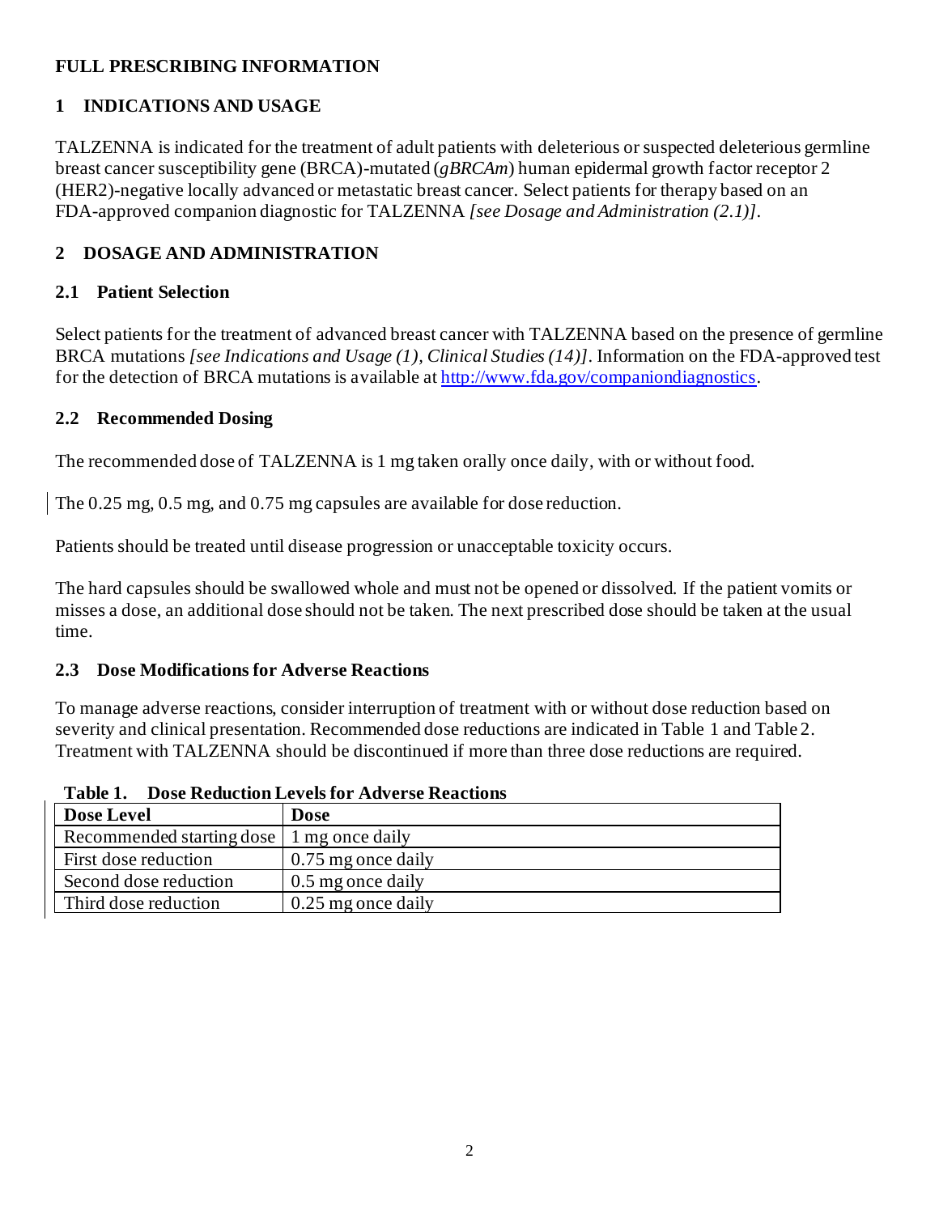## **FULL PRESCRIBING INFORMATION**

# **1 INDICATIONS AND USAGE**

TALZENNA is indicated for the treatment of adult patients with deleterious or suspected deleterious germline breast cancer susceptibility gene (BRCA)-mutated (*gBRCAm*) human epidermal growth factor receptor 2 (HER2)-negative locally advanced or metastatic breast cancer. Select patients for therapy based on an FDA-approved companion diagnostic for TALZENNA *[see Dosage and Administration (2.1)]*.

# **2 DOSAGE AND ADMINISTRATION**

# **2.1 Patient Selection**

Select patients for the treatment of advanced breast cancer with TALZENNA based on the presence of germline BRCA mutations *[see Indications and Usage (1), Clinical Studies (14)]*. Information on the FDA-approved test for the detection of BRCA mutations is available a[t http://www.fda.gov/companiondiagnostics](http://www.fda.gov/companiondiagnostics).

## **2.2 Recommended Dosing**

The recommended dose of TALZENNA is 1 mg taken orally once daily, with or without food.

The 0.25 mg, 0.5 mg, and 0.75 mg capsules are available for dose reduction.

Patients should be treated until disease progression or unacceptable toxicity occurs.

The hard capsules should be swallowed whole and must not be opened or dissolved. If the patient vomits or misses a dose, an additional dose should not be taken. The next prescribed dose should be taken at the usual time.

## **2.3 Dose Modifications for Adverse Reactions**

To manage adverse reactions, consider interruption of treatment with or without dose reduction based on severity and clinical presentation. Recommended dose reductions are indicated in Table 1 and Table 2. Treatment with TALZENNA should be discontinued if more than three dose reductions are required.

| Dose Level                                  | <b>Dose</b>          |  |
|---------------------------------------------|----------------------|--|
| Recommended starting dose   1 mg once daily |                      |  |
| First dose reduction                        | $0.75$ mg once daily |  |
| Second dose reduction                       | 0.5 mg once daily    |  |
| Third dose reduction                        | $0.25$ mg once daily |  |

**Table 1. Dose Reduction Levels for Adverse Reactions**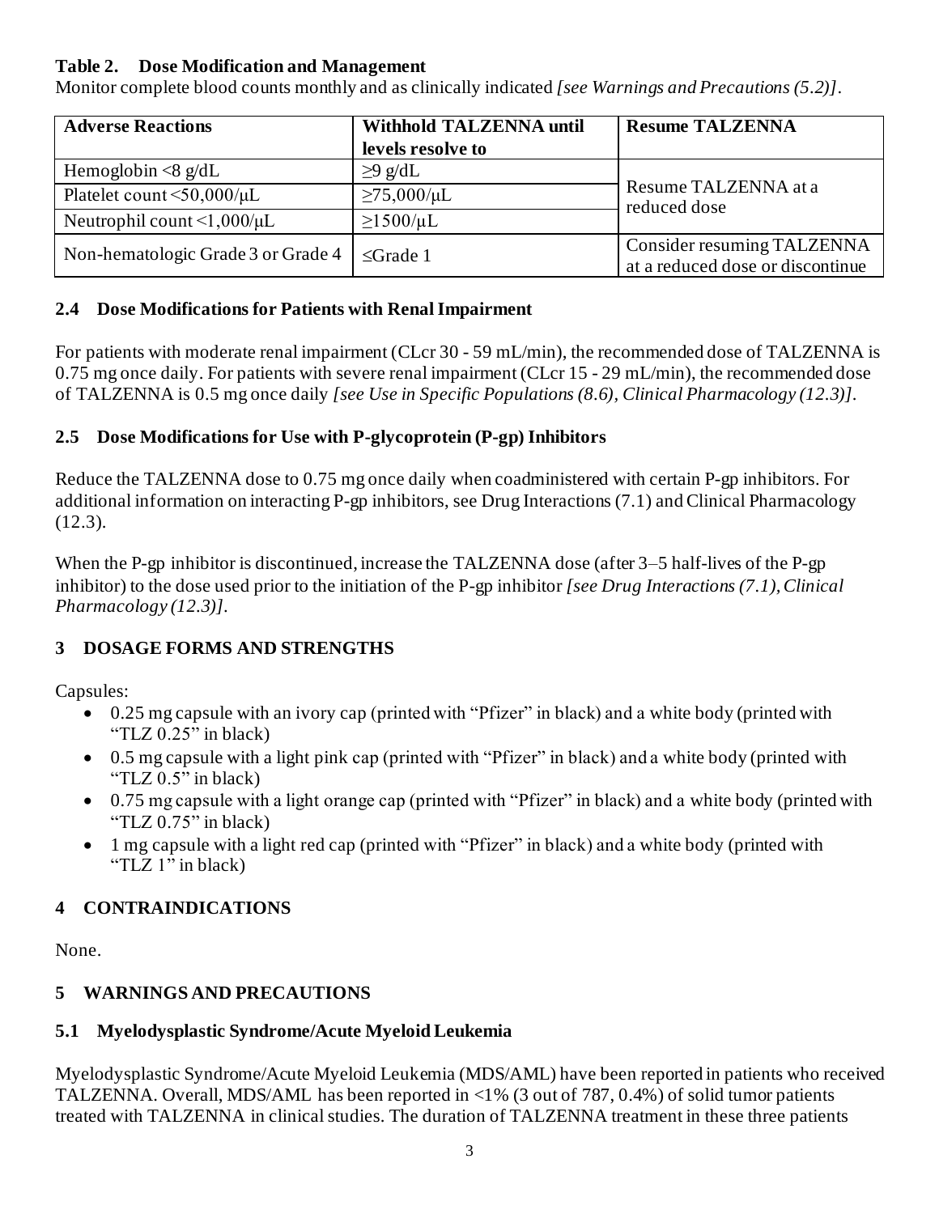#### **Table 2. Dose Modification and Management**

Monitor complete blood counts monthly and as clinically indicated *[see Warnings and Precautions (5.2)]*.

| <b>Adverse Reactions</b>                     | <b>Withhold TALZENNA until</b> | <b>Resume TALZENNA</b>                                         |  |
|----------------------------------------------|--------------------------------|----------------------------------------------------------------|--|
|                                              | levels resolve to              |                                                                |  |
| Hemoglobin $\langle 8 \text{ g/d} L \rangle$ | $\geq$ 9 g/dL                  |                                                                |  |
| Platelet count $\leq 50,000/\mu L$           | $≥75,000/\mu L$                | Resume TALZENNA at a<br>reduced dose                           |  |
| Neutrophil count $\leq 1,000/\mu L$          | $\geq$ 1500/µL                 |                                                                |  |
| Non-hematologic Grade 3 or Grade 4           | $\leq$ Grade 1                 | Consider resuming TALZENNA<br>at a reduced dose or discontinue |  |

### **2.4 Dose Modifications for Patients with Renal Impairment**

For patients with moderate renal impairment (CLcr 30 - 59 mL/min), the recommended dose of TALZENNA is 0.75 mg once daily. For patients with severe renal impairment (CLcr 15 - 29 mL/min), the recommended dose of TALZENNA is 0.5 mg once daily *[see Use in Specific Populations (8.6), Clinical Pharmacology (12.3)]*.

## **2.5 Dose Modifications for Use with P-glycoprotein (P-gp) Inhibitors**

Reduce the TALZENNA dose to 0.75 mg once daily when coadministered with certain P-gp inhibitors. For additional information on interacting P-gp inhibitors, see Drug Interactions (7.1) and Clinical Pharmacology (12.3).

When the P-gp inhibitor is discontinued, increase the TALZENNA dose (after 3–5 half-lives of the P-gp inhibitor) to the dose used prior to the initiation of the P-gp inhibitor *[see Drug Interactions (7.1), Clinical Pharmacology (12.3)]*.

## **3 DOSAGE FORMS AND STRENGTHS**

Capsules:

- 0.25 mg capsule with an ivory cap (printed with "Pfizer" in black) and a white body (printed with "TLZ 0.25" in black)
- 0.5 mg capsule with a light pink cap (printed with "Pfizer" in black) and a white body (printed with "TLZ 0.5" in black)
- 0.75 mg capsule with a light orange cap (printed with "Pfizer" in black) and a white body (printed with "TLZ  $0.75$ " in black)
- 1 mg capsule with a light red cap (printed with "Pfizer" in black) and a white body (printed with "TLZ 1" in black)

## **4 CONTRAINDICATIONS**

None.

## **5 WARNINGS AND PRECAUTIONS**

## **5.1 Myelodysplastic Syndrome/Acute Myeloid Leukemia**

Myelodysplastic Syndrome/Acute Myeloid Leukemia (MDS/AML) have been reported in patients who received TALZENNA. Overall, MDS/AML has been reported in <1% (3 out of 787, 0.4%) of solid tumor patients treated with TALZENNA in clinical studies. The duration of TALZENNA treatment in these three patients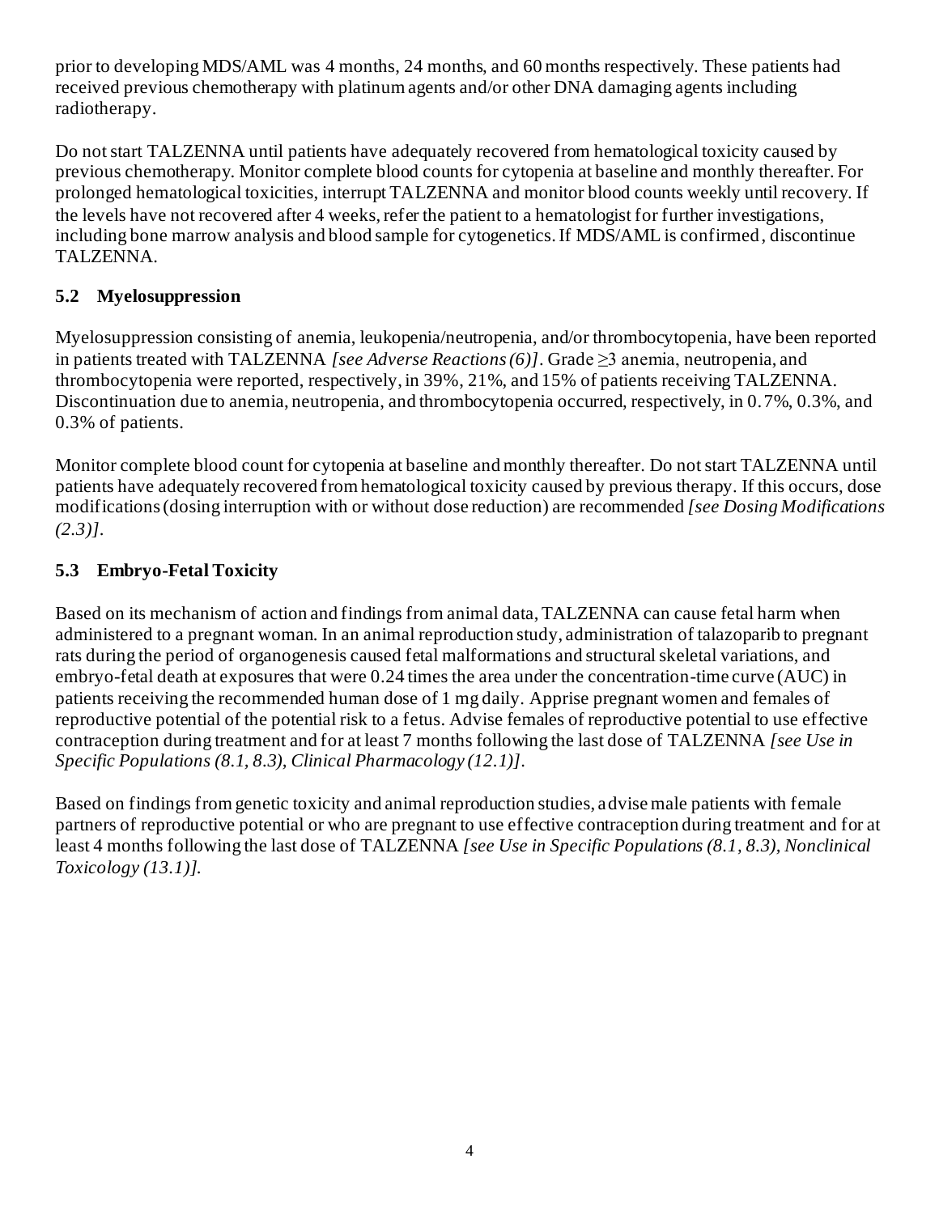prior to developing MDS/AML was 4 months, 24 months, and 60 months respectively. These patients had received previous chemotherapy with platinum agents and/or other DNA damaging agents including radiotherapy.

Do not start TALZENNA until patients have adequately recovered from hematological toxicity caused by previous chemotherapy. Monitor complete blood counts for cytopenia at baseline and monthly thereafter. For prolonged hematological toxicities, interrupt TALZENNA and monitor blood counts weekly until recovery. If the levels have not recovered after 4 weeks, refer the patient to a hematologist for further investigations, including bone marrow analysis and blood sample for cytogenetics. If MDS/AML is confirmed, discontinue TALZENNA.

## **5.2 Myelosuppression**

Myelosuppression consisting of anemia, leukopenia/neutropenia, and/or thrombocytopenia, have been reported in patients treated with TALZENNA *[see Adverse Reactions (6)]*. Grade ≥3 anemia, neutropenia, and thrombocytopenia were reported, respectively, in 39%, 21%, and 15% of patients receiving TALZENNA. Discontinuation due to anemia, neutropenia, and thrombocytopenia occurred, respectively, in 0.7%, 0.3%, and 0.3% of patients.

Monitor complete blood count for cytopenia at baseline and monthly thereafter. Do not start TALZENNA until patients have adequately recovered from hematological toxicity caused by previous therapy. If this occurs, dose modifications (dosing interruption with or without dose reduction) are recommended *[see Dosing Modifications (2.3)]*.

## **5.3 Embryo-Fetal Toxicity**

Based on its mechanism of action and findings from animal data,TALZENNA can cause fetal harm when administered to a pregnant woman. In an animal reproduction study, administration of talazoparib to pregnant rats during the period of organogenesis caused fetal malformations and structural skeletal variations, and embryo-fetal death at exposures that were 0.24 times the area under the concentration-time curve (AUC) in patients receiving the recommended human dose of 1 mg daily. Apprise pregnant women and females of reproductive potential of the potential risk to a fetus. Advise females of reproductive potential to use effective contraception during treatment and for at least 7 months following the last dose of TALZENNA *[see Use in Specific Populations (8.1, 8.3), Clinical Pharmacology (12.1)]*.

Based on findings from genetic toxicity and animal reproduction studies, advise male patients with female partners of reproductive potential or who are pregnant to use effective contraception during treatment and for at least 4 months following the last dose of TALZENNA *[see Use in Specific Populations (8.1, 8.3), Nonclinical Toxicology (13.1)]*.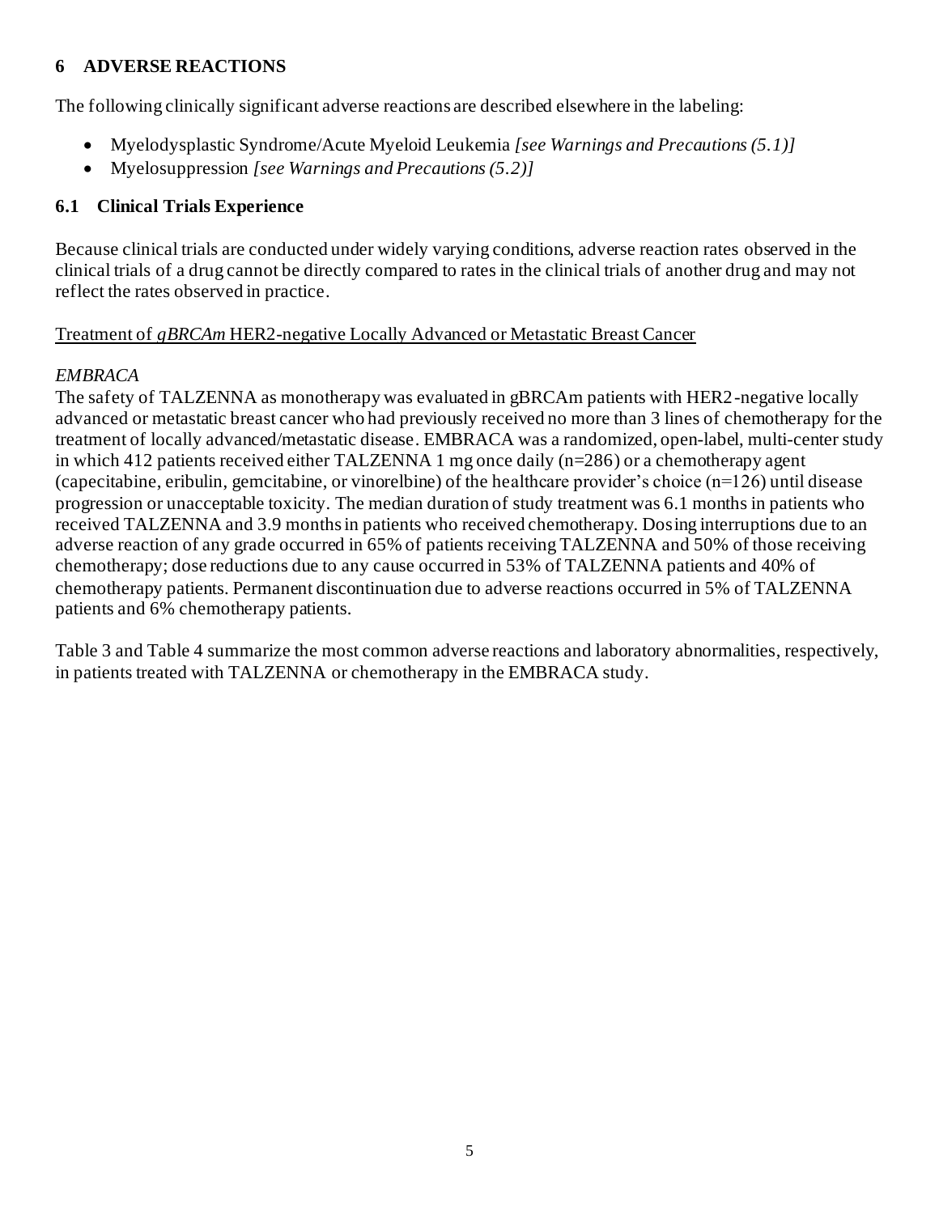## **6 ADVERSE REACTIONS**

The following clinically significant adverse reactions are described elsewhere in the labeling:

- Myelodysplastic Syndrome/Acute Myeloid Leukemia *[see Warnings and Precautions (5.1)]*
- Myelosuppression *[see Warnings and Precautions (5.2)]*

### **6.1 Clinical Trials Experience**

Because clinical trials are conducted under widely varying conditions, adverse reaction rates observed in the clinical trials of a drug cannot be directly compared to rates in the clinical trials of another drug and may not reflect the rates observed in practice.

#### Treatment of *gBRCAm* HER2-negative Locally Advanced or Metastatic Breast Cancer

## *EMBRACA*

The safety of TALZENNA as monotherapy was evaluated in gBRCAm patients with HER2-negative locally advanced or metastatic breast cancer who had previously received no more than 3 lines of chemotherapy for the treatment of locally advanced/metastatic disease. EMBRACA was a randomized, open-label, multi-center study in which 412 patients received either TALZENNA 1 mg once daily (n=286) or a chemotherapy agent (capecitabine, eribulin, gemcitabine, or vinorelbine) of the healthcare provider's choice (n=126) until disease progression or unacceptable toxicity. The median duration of study treatment was 6.1 months in patients who received TALZENNA and 3.9 months in patients who received chemotherapy. Dosing interruptions due to an adverse reaction of any grade occurred in 65% of patients receiving TALZENNA and 50% of those receiving chemotherapy; dose reductions due to any cause occurred in 53% of TALZENNA patients and 40% of chemotherapy patients. Permanent discontinuation due to adverse reactions occurred in 5% of TALZENNA patients and 6% chemotherapy patients.

Table 3 and Table 4 summarize the most common adverse reactions and laboratory abnormalities, respectively, in patients treated with TALZENNA or chemotherapy in the EMBRACA study.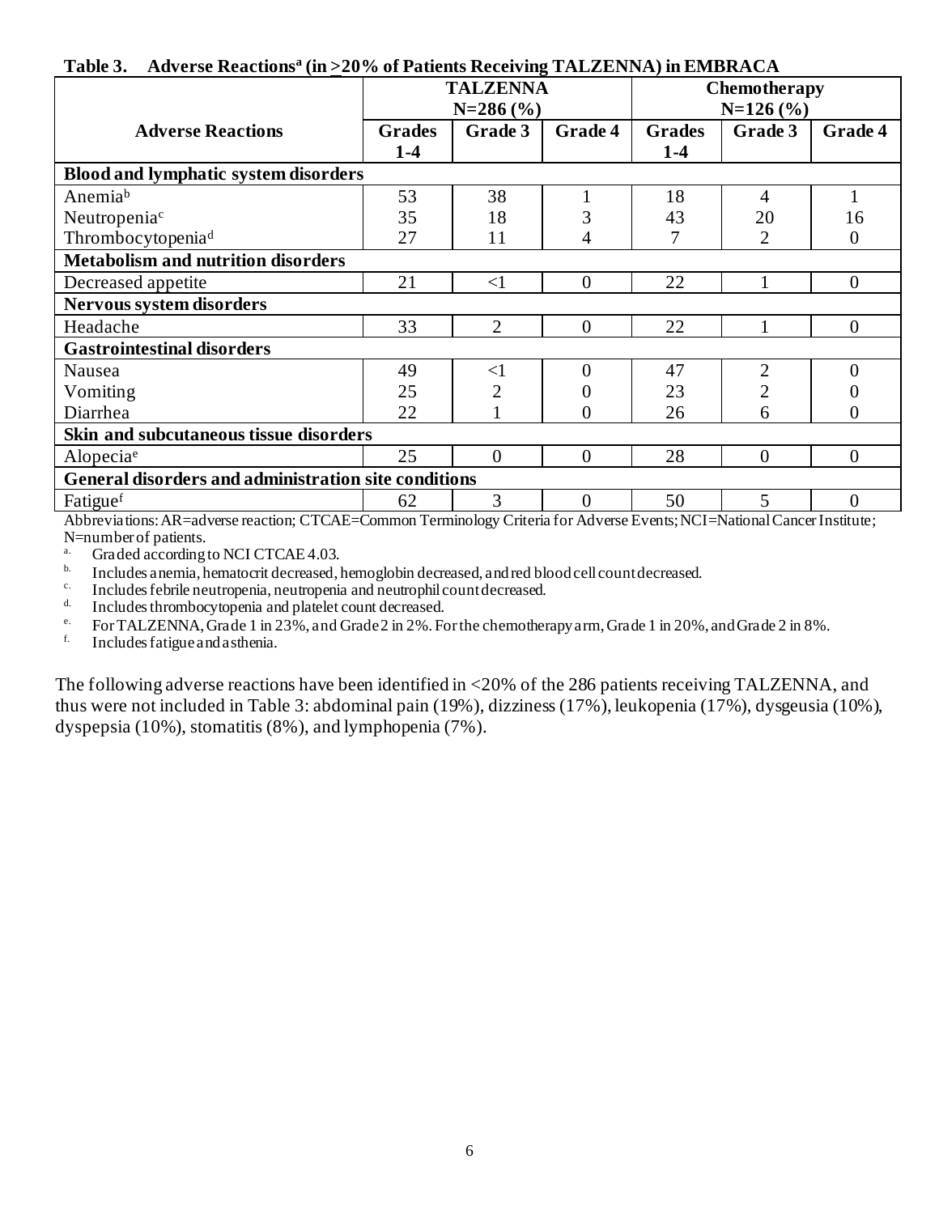#### **Table 3. Adverse Reactions<sup>a</sup> (in >20% of Patients Receiving TALZENNA) in EMBRACA**

|                                                      | <b>TALZENNA</b><br>$N=286$ (%) |                | Chemotherapy<br>$N=126(%)$ |               |                |                |
|------------------------------------------------------|--------------------------------|----------------|----------------------------|---------------|----------------|----------------|
| <b>Adverse Reactions</b>                             | <b>Grades</b>                  | Grade 3        | Grade 4                    | <b>Grades</b> | Grade 3        | Grade 4        |
|                                                      | $1 - 4$                        |                |                            | $1-4$         |                |                |
| <b>Blood and lymphatic system disorders</b>          |                                |                |                            |               |                |                |
| Anemiab                                              | 53                             | 38             |                            | 18            | $\overline{4}$ |                |
| Neutropenia <sup>c</sup>                             | 35                             | 18             | 3                          | 43            | 20             | 16             |
| Thrombocytopenia <sup>d</sup>                        | 27                             | 11             | 4                          |               | 2              | $\theta$       |
| <b>Metabolism and nutrition disorders</b>            |                                |                |                            |               |                |                |
| Decreased appetite                                   | 21                             | $\leq$ 1       | $\Omega$                   | 22            |                | $\theta$       |
| Nervous system disorders                             |                                |                |                            |               |                |                |
| Headache                                             | 33                             | $\overline{2}$ | $\theta$                   | 22            |                | $\overline{0}$ |
| <b>Gastrointestinal disorders</b>                    |                                |                |                            |               |                |                |
| Nausea                                               | 49                             | $\leq$ 1       | $\Omega$                   | 47            | $\overline{2}$ | 0              |
| Vomiting                                             | 25                             | 2              |                            | 23            | $\overline{2}$ |                |
| Diarrhea                                             | 22                             |                | $_{0}$                     | 26            | 6              | 0              |
| Skin and subcutaneous tissue disorders               |                                |                |                            |               |                |                |
| Alopeciae                                            | 25                             | $\theta$       | $\Omega$                   | 28            | $\Omega$       | $\theta$       |
| General disorders and administration site conditions |                                |                |                            |               |                |                |
| Fatiguef                                             | 62                             | 3              | $\overline{0}$             | 50            | 5              | $\overline{0}$ |

Abbreviations: AR=adverse reaction; CTCAE=Common Terminology Criteria for Adverse Events; NCI=National Cancer Institute; N=number of patients.

<sup>a.</sup> Graded according to NCI CTCAE 4.03.

b. Includes anemia, hematocrit decreased, hemoglobin decreased, and red blood cell count decreased.

c. Includes febrile neutropenia, neutropenia and neutrophil count decreased.

d. Includes thrombocytopenia and platelet count decreased.

<sup>e.</sup> For TALZENNA, Grade 1 in 23%, and Grade 2 in 2%. For the chemotherapy arm, Grade 1 in 20%, and Grade 2 in 8%.

f. Includes fatigue andasthenia.

The following adverse reactions have been identified in <20% of the 286 patients receiving TALZENNA, and thus were not included in Table 3: abdominal pain (19%), dizziness (17%), leukopenia (17%), dysgeusia (10%), dyspepsia (10%), stomatitis (8%), and lymphopenia (7%).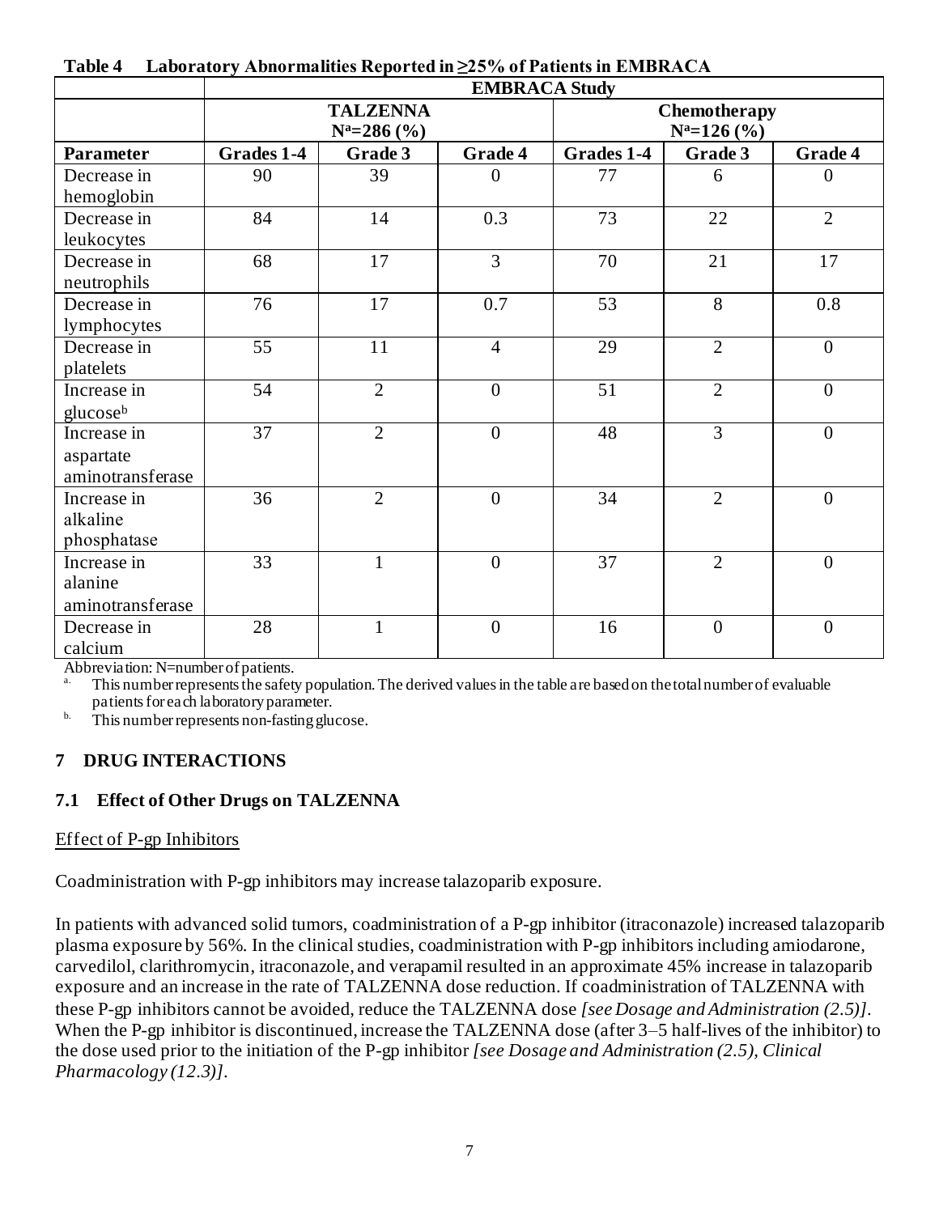|                                              | <b>EMBRACA Study</b>               |                 |                |                                 |                |                |
|----------------------------------------------|------------------------------------|-----------------|----------------|---------------------------------|----------------|----------------|
|                                              | <b>TALZENNA</b><br>$N^a = 286$ (%) |                 |                | Chemotherapy<br>$N^a = 126$ (%) |                |                |
| <b>Parameter</b>                             | Grades 1-4                         | Grade 3         | Grade 4        | Grades 1-4                      | Grade 3        | <b>Grade 4</b> |
| Decrease in<br>hemoglobin                    | 90                                 | 39              | $\Omega$       | 77                              | 6              | $\Omega$       |
| Decrease in<br>leukocytes                    | 84                                 | 14              | 0.3            | 73                              | 22             | $\overline{2}$ |
| Decrease in<br>neutrophils                   | 68                                 | 17              | $\overline{3}$ | 70                              | 21             | 17             |
| Decrease in<br>lymphocytes                   | 76                                 | 17              | 0.7            | 53                              | 8              | 0.8            |
| Decrease in<br>platelets                     | $\overline{55}$                    | $\overline{11}$ | $\overline{4}$ | $\overline{29}$                 | $\overline{2}$ | $\overline{0}$ |
| Increase in<br>glucose <sup>b</sup>          | 54                                 | $\overline{2}$  | $\overline{0}$ | 51                              | $\overline{2}$ | $\overline{0}$ |
| Increase in<br>aspartate<br>aminotransferase | $\overline{37}$                    | $\overline{2}$  | $\overline{0}$ | 48                              | $\overline{3}$ | $\overline{0}$ |
| Increase in<br>alkaline<br>phosphatase       | 36                                 | $\overline{2}$  | $\overline{0}$ | 34                              | $\overline{2}$ | $\overline{0}$ |
| Increase in<br>alanine<br>aminotransferase   | 33                                 | $\mathbf{1}$    | $\overline{0}$ | 37                              | $\overline{2}$ | $\overline{0}$ |
| Decrease in<br>calcium                       | 28                                 | $\mathbf{1}$    | $\overline{0}$ | 16                              | $\overline{0}$ | $\overline{0}$ |

|  |  | Table 4 Laboratory Abnormalities Reported in $\geq$ 25% of Patients in EMBRACA |  |  |  |
|--|--|--------------------------------------------------------------------------------|--|--|--|
|--|--|--------------------------------------------------------------------------------|--|--|--|

Abbreviation: N=number of patients.

This number represents the safety population. The derived values in the table are based on the total number of evaluable patients for each laboratory parameter.

 $b$ . This number represents non-fasting glucose.

# **7 DRUG INTERACTIONS**

## **7.1 Effect of Other Drugs on TALZENNA**

#### Effect of P-gp Inhibitors

Coadministration with P-gp inhibitors may increase talazoparib exposure.

In patients with advanced solid tumors, coadministration of a P-gp inhibitor (itraconazole) increased talazoparib plasma exposure by 56%. In the clinical studies, coadministration with P-gp inhibitors including amiodarone, carvedilol, clarithromycin, itraconazole, and verapamil resulted in an approximate 45% increase in talazoparib exposure and an increase in the rate of TALZENNA dose reduction. If coadministration of TALZENNA with these P-gp inhibitors cannot be avoided, reduce the TALZENNA dose *[see Dosage and Administration (2.5)]*. When the P-gp inhibitor is discontinued, increase the TALZENNA dose (after 3–5 half-lives of the inhibitor) to the dose used prior to the initiation of the P-gp inhibitor *[see Dosage and Administration (2.5), Clinical Pharmacology (12.3)]*.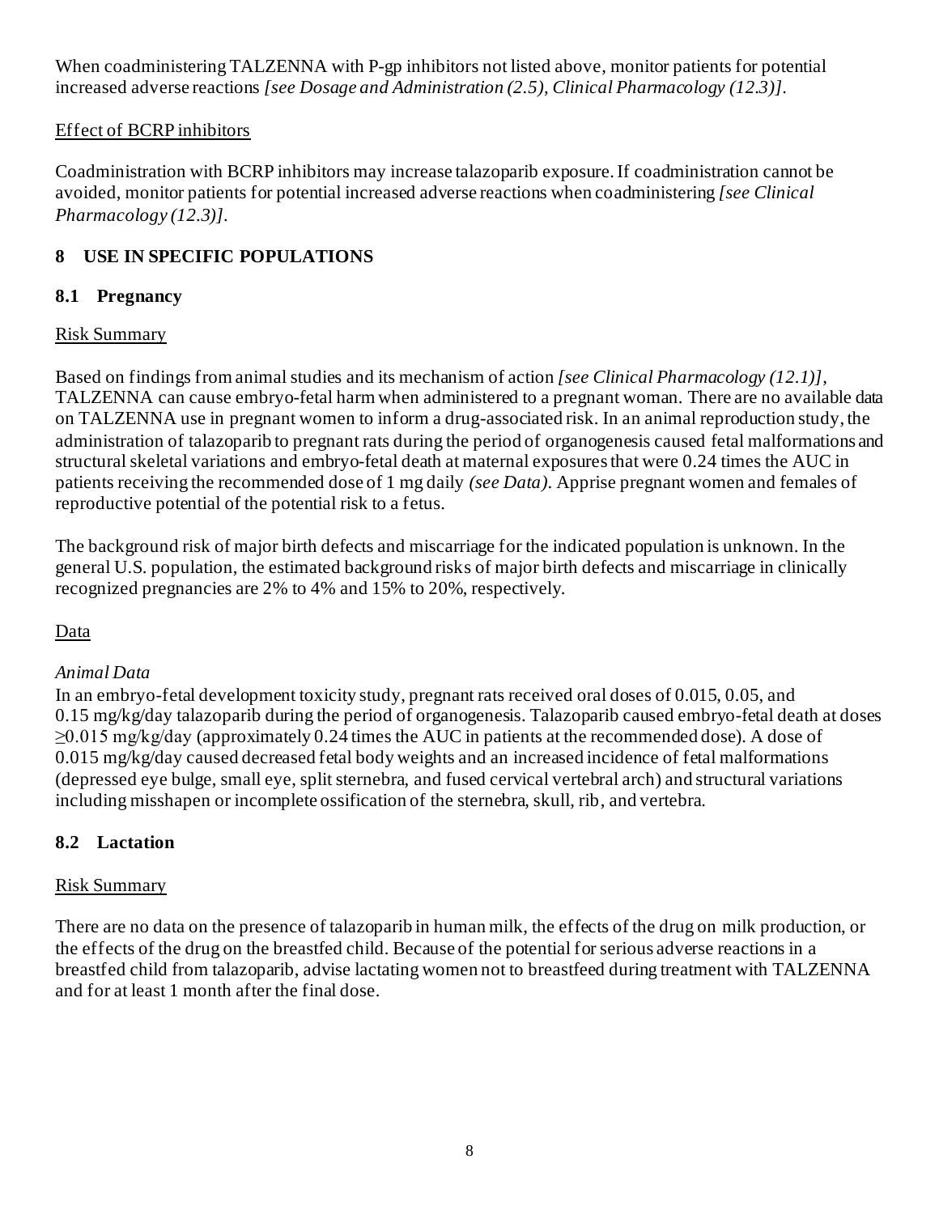When coadministering TALZENNA with P-gp inhibitors not listed above, monitor patients for potential increased adverse reactions *[see Dosage and Administration (2.5), Clinical Pharmacology (12.3)]*.

## Effect of BCRP inhibitors

Coadministration with BCRP inhibitors may increase talazoparib exposure. If coadministration cannot be avoided, monitor patients for potential increased adverse reactions when coadministering *[see Clinical Pharmacology (12.3)]*.

## **8 USE IN SPECIFIC POPULATIONS**

### **8.1 Pregnancy**

#### Risk Summary

Based on findings from animal studies and its mechanism of action *[see Clinical Pharmacology (12.1)]*, TALZENNA can cause embryo-fetal harm when administered to a pregnant woman. There are no available data on TALZENNA use in pregnant women to inform a drug-associated risk. In an animal reproduction study, the administration of talazoparib to pregnant rats during the period of organogenesis caused fetal malformations and structural skeletal variations and embryo-fetal death at maternal exposures that were 0.24 times the AUC in patients receiving the recommended dose of 1 mg daily *(see Data)*. Apprise pregnant women and females of reproductive potential of the potential risk to a fetus.

The background risk of major birth defects and miscarriage for the indicated population is unknown. In the general U.S. population, the estimated background risks of major birth defects and miscarriage in clinically recognized pregnancies are 2% to 4% and 15% to 20%, respectively.

## Data

#### *Animal Data*

In an embryo-fetal development toxicity study, pregnant rats received oral doses of 0.015, 0.05, and 0.15 mg/kg/day talazoparib during the period of organogenesis. Talazoparib caused embryo-fetal death at doses  $\geq$ 0.015 mg/kg/day (approximately 0.24 times the AUC in patients at the recommended dose). A dose of 0.015 mg/kg/day caused decreased fetal body weights and an increased incidence of fetal malformations (depressed eye bulge, small eye, split sternebra, and fused cervical vertebral arch) and structural variations including misshapen or incomplete ossification of the sternebra, skull, rib, and vertebra.

## **8.2 Lactation**

#### Risk Summary

There are no data on the presence of talazoparib in human milk, the effects of the drug on milk production, or the effects of the drug on the breastfed child. Because of the potential for serious adverse reactions in a breastfed child from talazoparib, advise lactating women not to breastfeed during treatment with TALZENNA and for at least 1 month after the final dose.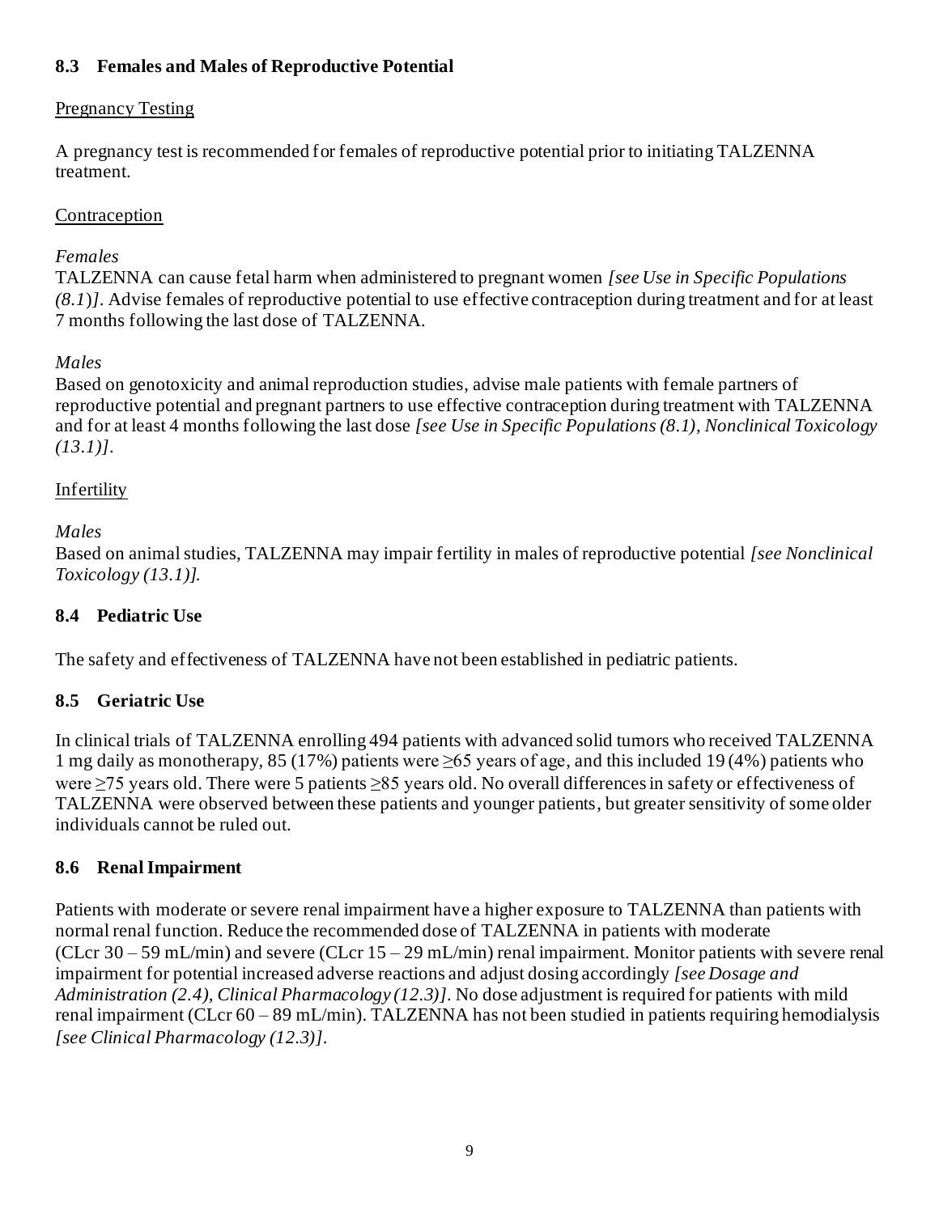## **8.3 Females and Males of Reproductive Potential**

#### Pregnancy Testing

A pregnancy test is recommended for females of reproductive potential prior to initiating TALZENNA treatment.

### **Contraception**

#### *Females*

TALZENNA can cause fetal harm when administered to pregnant women *[see Use in Specific Populations (8.1*)*]*. Advise females of reproductive potential to use effective contraception during treatment and for at least 7 months following the last dose of TALZENNA.

## *Males*

Based on genotoxicity and animal reproduction studies, advise male patients with female partners of reproductive potential and pregnant partners to use effective contraception during treatment with TALZENNA and for at least 4 months following the last dose *[see Use in Specific Populations (8.1), Nonclinical Toxicology (13.1)]*.

#### Infertility

#### *Males*

Based on animal studies, TALZENNA may impair fertility in males of reproductive potential *[see Nonclinical Toxicology (13.1)].*

### **8.4 Pediatric Use**

The safety and effectiveness of TALZENNA have not been established in pediatric patients.

## **8.5 Geriatric Use**

In clinical trials of TALZENNA enrolling 494 patients with advanced solid tumors who received TALZENNA 1 mg daily as monotherapy, 85 (17%) patients were  $\geq 65$  years of age, and this included 19(4%) patients who were ≥75 years old. There were 5 patients ≥85 years old. No overall differences in safety or effectiveness of TALZENNA were observed between these patients and younger patients, but greater sensitivity of some older individuals cannot be ruled out.

#### **8.6 Renal Impairment**

Patients with moderate or severe renal impairment have a higher exposure to TALZENNA than patients with normal renal function. Reduce the recommended dose of TALZENNA in patients with moderate (CLcr 30 – 59 mL/min) and severe (CLcr 15 – 29 mL/min) renal impairment. Monitor patients with severe renal impairment for potential increased adverse reactions and adjust dosing accordingly *[see Dosage and Administration (2.4), Clinical Pharmacology (12.3)]*. No dose adjustment is required for patients with mild renal impairment (CLcr 60 – 89 mL/min). TALZENNA has not been studied in patients requiring hemodialysis *[see Clinical Pharmacology (12.3)]*.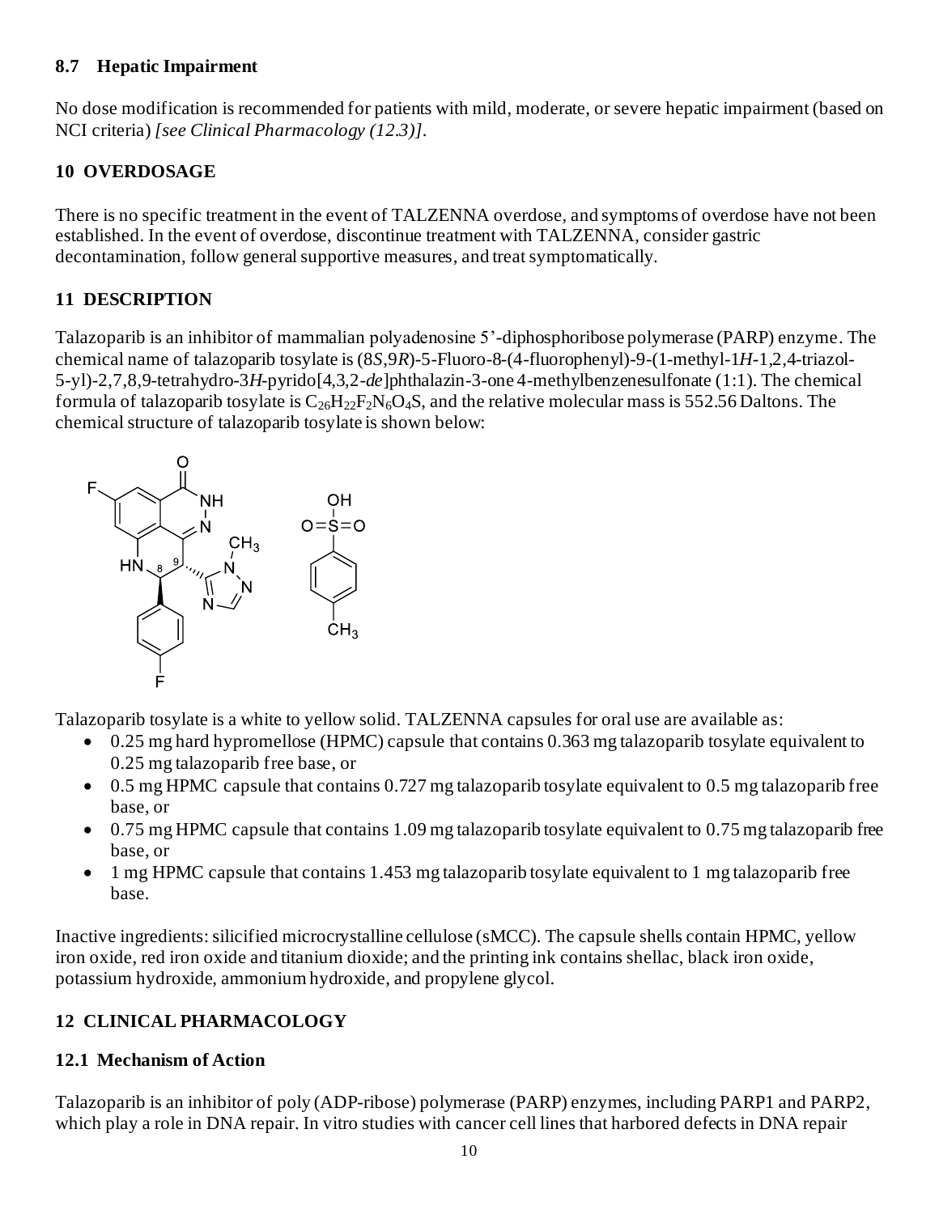#### **8.7 Hepatic Impairment**

No dose modification is recommended for patients with mild, moderate, or severe hepatic impairment (based on NCI criteria) *[see Clinical Pharmacology (12.3)]*.

## **10 OVERDOSAGE**

There is no specific treatment in the event of TALZENNA overdose, and symptoms of overdose have not been established. In the event of overdose, discontinue treatment with TALZENNA, consider gastric decontamination, follow general supportive measures, and treat symptomatically.

# **11 DESCRIPTION**

Talazoparib is an inhibitor of mammalian polyadenosine 5'-diphosphoribose polymerase (PARP) enzyme. The chemical name of talazoparib tosylate is (8*S*,9*R*)-5-Fluoro-8-(4-fluorophenyl)-9-(1-methyl-1*H*-1,2,4-triazol-5-yl)-2,7,8,9-tetrahydro-3*H*-pyrido[4,3,2-*de*]phthalazin-3-one 4-methylbenzenesulfonate (1:1). The chemical formula of talazoparib tosylate is  $C_{26}H_{22}F_2N_6O_4S$ , and the relative molecular mass is 552.56 Daltons. The chemical structure of talazoparib tosylate is shown below:



Talazoparib tosylate is a white to yellow solid. TALZENNA capsules for oral use are available as:

- 0.25 mg hard hypromellose (HPMC) capsule that contains 0.363 mg talazoparib tosylate equivalent to 0.25 mg talazoparib free base, or
- 0.5 mg HPMC capsule that contains 0.727 mg talazoparib tosylate equivalent to 0.5 mg talazoparib free base, or
- 0.75 mg HPMC capsule that contains 1.09 mg talazoparib tosylate equivalent to 0.75 mg talazoparib free base, or
- 1 mg HPMC capsule that contains 1.453 mg talazoparib tosylate equivalent to 1 mg talazoparib free base.

Inactive ingredients: silicified microcrystalline cellulose (sMCC). The capsule shells contain HPMC, yellow iron oxide, red iron oxide and titanium dioxide; and the printing ink contains shellac, black iron oxide, potassium hydroxide, ammonium hydroxide, and propylene glycol.

# **12 CLINICAL PHARMACOLOGY**

# **12.1 Mechanism of Action**

Talazoparib is an inhibitor of poly (ADP-ribose) polymerase (PARP) enzymes, including PARP1 and PARP2, which play a role in DNA repair. In vitro studies with cancer cell lines that harbored defects in DNA repair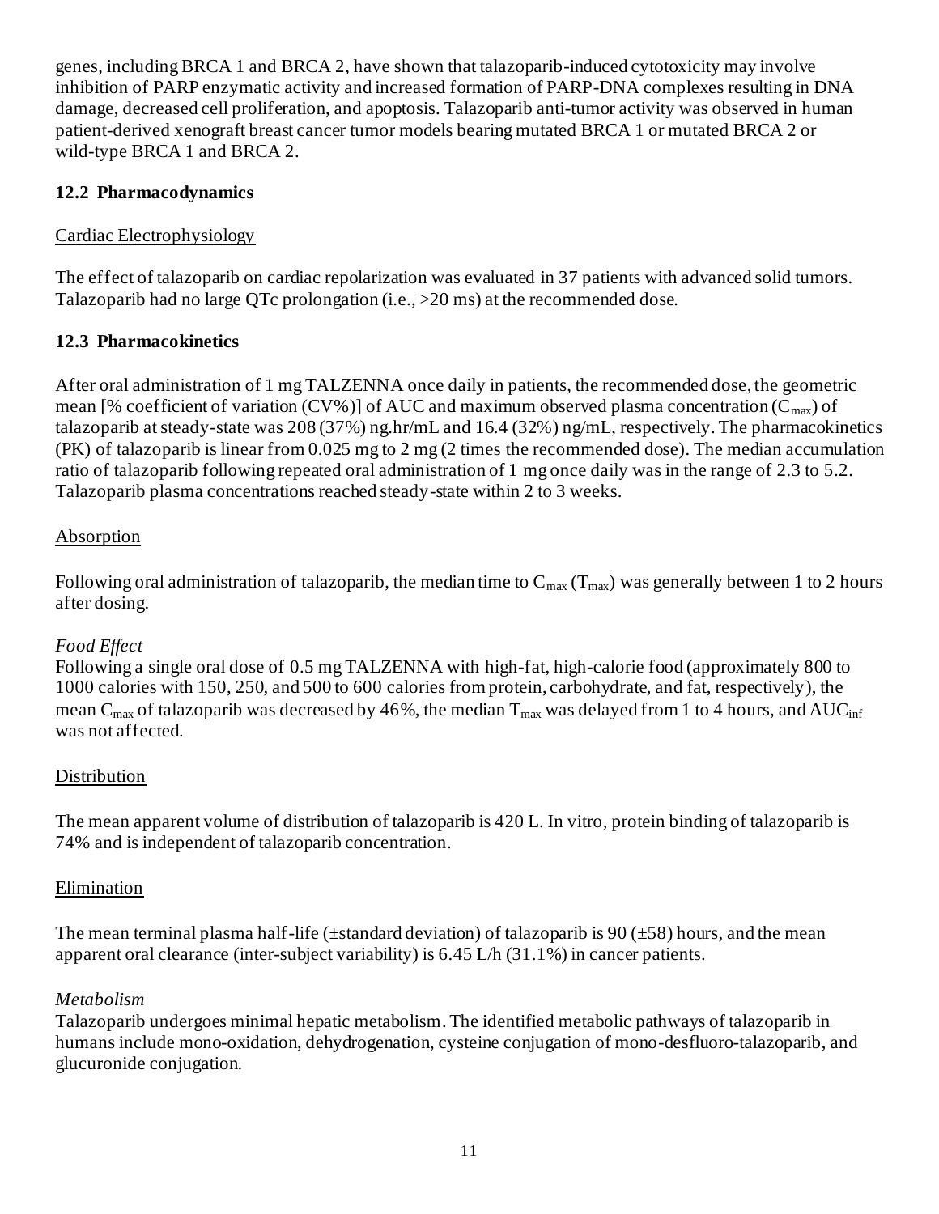genes, including BRCA 1 and BRCA 2, have shown that talazoparib-induced cytotoxicity may involve inhibition of PARP enzymatic activity and increased formation of PARP-DNA complexes resulting in DNA damage, decreased cell proliferation, and apoptosis. Talazoparib anti-tumor activity was observed in human patient-derived xenograft breast cancer tumor models bearing mutated BRCA 1 or mutated BRCA 2 or wild-type BRCA 1 and BRCA 2.

## **12.2 Pharmacodynamics**

## Cardiac Electrophysiology

The effect of talazoparib on cardiac repolarization was evaluated in 37 patients with advanced solid tumors. Talazoparib had no large QTc prolongation (i.e., >20 ms) at the recommended dose.

## **12.3 Pharmacokinetics**

After oral administration of 1 mg TALZENNA once daily in patients, the recommended dose, the geometric mean [% coefficient of variation (CV%)] of AUC and maximum observed plasma concentration ( $C_{\text{max}}$ ) of talazoparib at steady-state was 208 (37%) ng.hr/mL and 16.4 (32%) ng/mL, respectively. The pharmacokinetics (PK) of talazoparib is linear from 0.025 mg to 2 mg (2 times the recommended dose). The median accumulation ratio of talazoparib following repeated oral administration of 1 mg once daily was in the range of 2.3 to 5.2. Talazoparib plasma concentrations reached steady-state within 2 to 3 weeks.

## Absorption

Following oral administration of talazoparib, the median time to  $C_{\text{max}}(T_{\text{max}})$  was generally between 1 to 2 hours after dosing.

## *Food Effect*

Following a single oral dose of 0.5 mg TALZENNA with high-fat, high-calorie food (approximately 800 to 1000 calories with 150, 250, and 500 to 600 calories from protein, carbohydrate, and fat, respectively), the mean C<sub>max</sub> of talazoparib was decreased by 46%, the median  $T_{\text{max}}$  was delayed from 1 to 4 hours, and AUC<sub>inf</sub> was not affected.

## Distribution

The mean apparent volume of distribution of talazoparib is 420 L. In vitro, protein binding of talazoparib is 74% and is independent of talazoparib concentration.

## Elimination

The mean terminal plasma half-life ( $\pm$ standard deviation) of talazoparib is 90 ( $\pm$ 58) hours, and the mean apparent oral clearance (inter-subject variability) is 6.45 L/h (31.1%) in cancer patients.

## *Metabolism*

Talazoparib undergoes minimal hepatic metabolism.The identified metabolic pathways of talazoparib in humans include mono-oxidation, dehydrogenation, cysteine conjugation of mono-desfluoro-talazoparib, and glucuronide conjugation.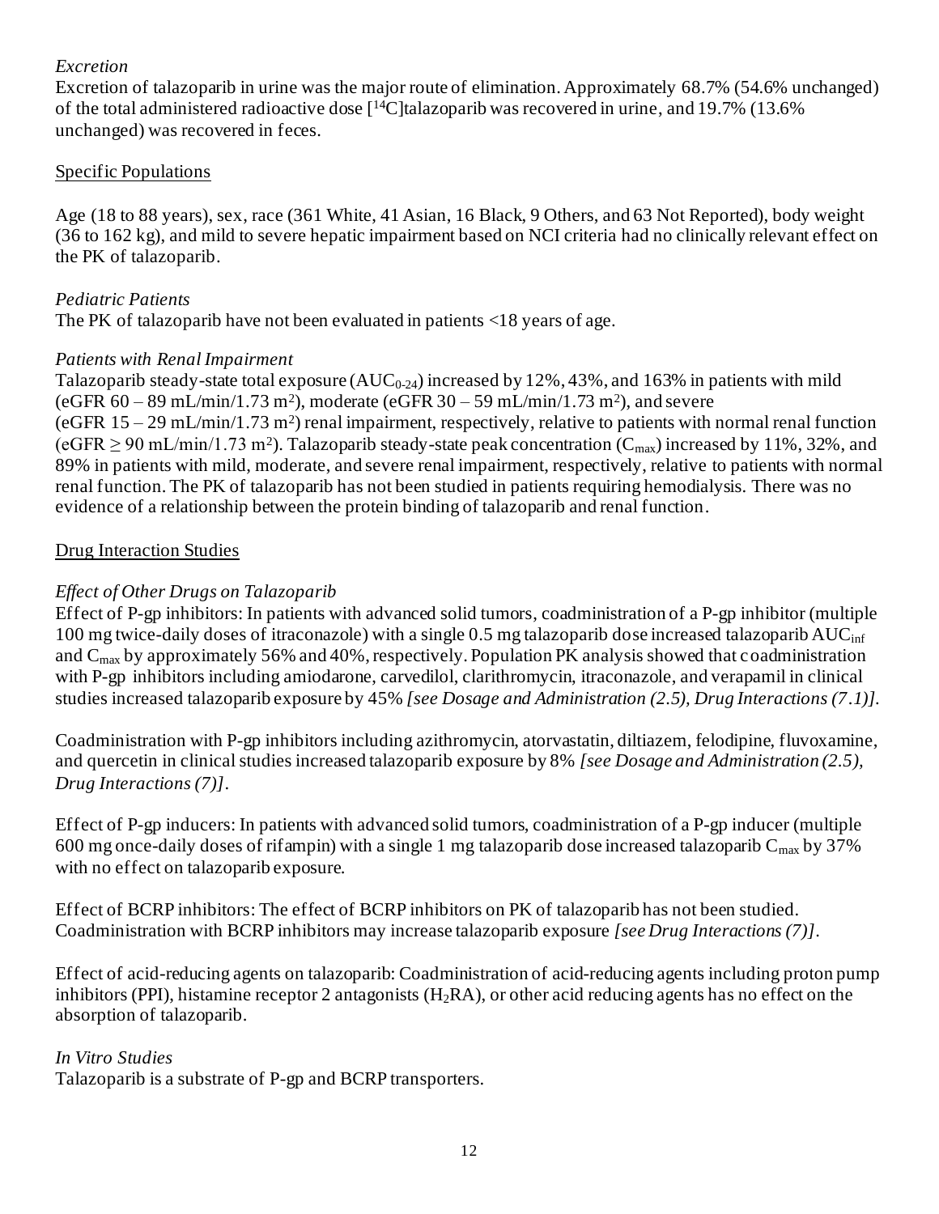#### *Excretion*

Excretion of talazoparib in urine was the major route of elimination. Approximately 68.7% (54.6% unchanged) of the total administered radioactive dose [14C]talazoparib was recovered in urine, and 19.7% (13.6% unchanged) was recovered in feces.

#### Specific Populations

Age (18 to 88 years), sex, race (361 White, 41 Asian, 16 Black, 9 Others, and 63 Not Reported), body weight (36 to 162 kg), and mild to severe hepatic impairment based on NCI criteria had no clinically relevant effect on the PK of talazoparib.

### *Pediatric Patients*

The PK of talazoparib have not been evaluated in patients <18 years of age.

#### *Patients with Renal Impairment*

Talazoparib steady-state total exposure  $(AUC_{0-24})$  increased by 12%, 43%, and 163% in patients with mild (eGFR  $60 - 89$  mL/min/1.73 m<sup>2</sup>), moderate (eGFR  $30 - 59$  mL/min/1.73 m<sup>2</sup>), and severe (eGFR 15 – 29 mL/min/1.73 m<sup>2</sup> ) renal impairment, respectively, relative to patients with normal renal function (eGFR  $\geq$  90 mL/min/1.73 m<sup>2</sup>). Talazoparib steady-state peak concentration (C<sub>max</sub>) increased by 11%, 32%, and 89% in patients with mild, moderate, and severe renal impairment, respectively, relative to patients with normal renal function. The PK of talazoparib has not been studied in patients requiring hemodialysis. There was no evidence of a relationship between the protein binding of talazoparib and renal function.

#### Drug Interaction Studies

## *Effect of Other Drugs on Talazoparib*

Effect of P-gp inhibitors: In patients with advanced solid tumors, coadministration of a P-gp inhibitor (multiple 100 mg twice-daily doses of itraconazole) with a single 0.5 mg talazoparib dose increased talazoparib  $AUC_{\text{inf}}$ and  $C_{\text{max}}$  by approximately 56% and 40%, respectively. Population PK analysis showed that coadministration with P-gp inhibitors including amiodarone, carvedilol, clarithromycin, itraconazole, and verapamil in clinical studies increased talazoparib exposure by 45% *[see Dosage and Administration (2.5), Drug Interactions (7.1)].*

Coadministration with P-gp inhibitors including azithromycin, atorvastatin, diltiazem, felodipine, fluvoxamine, and quercetin in clinical studies increased talazoparib exposure by 8% *[see Dosage and Administration (2.5), Drug Interactions (7)]*.

Effect of P-gp inducers: In patients with advanced solid tumors, coadministration of a P-gp inducer (multiple 600 mg once-daily doses of rifampin) with a single 1 mg talazoparib dose increased talazoparib  $C_{\text{max}}$  by 37% with no effect on talazoparib exposure.

Effect of BCRP inhibitors: The effect of BCRP inhibitors on PK of talazoparib has not been studied. Coadministration with BCRP inhibitors may increase talazoparib exposure *[see Drug Interactions (7)]*.

Effect of acid-reducing agents on talazoparib: Coadministration of acid-reducing agents including proton pump inhibitors (PPI), histamine receptor 2 antagonists (H<sub>2</sub>RA), or other acid reducing agents has no effect on the absorption of talazoparib.

#### *In Vitro Studies*

Talazoparib is a substrate of P-gp and BCRP transporters.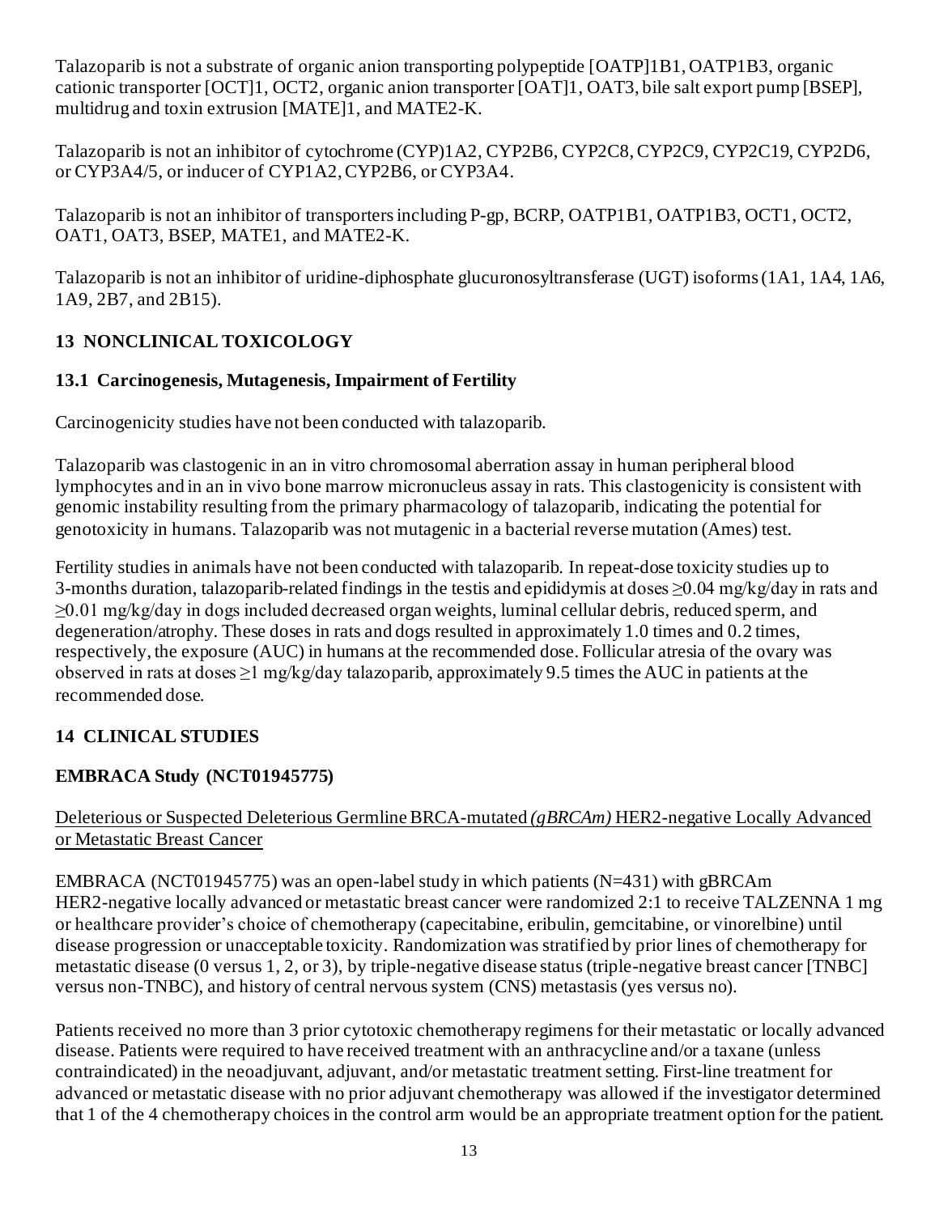Talazoparib is not a substrate of organic anion transporting polypeptide [OATP]1B1, OATP1B3, organic cationic transporter [OCT]1, OCT2, organic anion transporter [OAT]1, OAT3, bile salt export pump [BSEP], multidrug and toxin extrusion [MATE]1, and MATE2-K.

Talazoparib is not an inhibitor of cytochrome (CYP)1A2, CYP2B6, CYP2C8, CYP2C9, CYP2C19, CYP2D6, or CYP3A4/5, or inducer of CYP1A2, CYP2B6, or CYP3A4.

Talazoparib is not an inhibitor of transporters including P-gp, BCRP, OATP1B1, OATP1B3, OCT1, OCT2, OAT1, OAT3, BSEP, MATE1, and MATE2-K.

Talazoparib is not an inhibitor of uridine-diphosphate glucuronosyltransferase (UGT) isoforms (1A1, 1A4, 1A6, 1A9, 2B7, and 2B15).

# **13 NONCLINICAL TOXICOLOGY**

## **13.1 Carcinogenesis, Mutagenesis, Impairment of Fertility**

Carcinogenicity studies have not been conducted with talazoparib.

Talazoparib was clastogenic in an in vitro chromosomal aberration assay in human peripheral blood lymphocytes and in an in vivo bone marrow micronucleus assay in rats. This clastogenicity is consistent with genomic instability resulting from the primary pharmacology of talazoparib, indicating the potential for genotoxicity in humans. Talazoparib was not mutagenic in a bacterial reverse mutation (Ames) test.

Fertility studies in animals have not been conducted with talazoparib. In repeat-dose toxicity studies up to 3-months duration, talazoparib-related findings in the testis and epididymis at doses ≥0.04 mg/kg/day in rats and ≥0.01 mg/kg/day in dogs included decreased organ weights, luminal cellular debris, reduced sperm, and degeneration/atrophy. These doses in rats and dogs resulted in approximately 1.0 times and 0.2 times, respectively, the exposure (AUC) in humans at the recommended dose. Follicular atresia of the ovary was observed in rats at doses  $\geq 1$  mg/kg/day talazoparib, approximately 9.5 times the AUC in patients at the recommended dose.

# **14 CLINICAL STUDIES**

# **EMBRACA Study (NCT01945775)**

## Deleterious or Suspected Deleterious Germline BRCA-mutated *(gBRCAm)* HER2-negative Locally Advanced or Metastatic Breast Cancer

EMBRACA (NCT01945775) was an open-label study in which patients (N=431) with gBRCAm HER2-negative locally advanced or metastatic breast cancer were randomized 2:1 to receive TALZENNA 1 mg or healthcare provider's choice of chemotherapy (capecitabine, eribulin, gemcitabine, or vinorelbine) until disease progression or unacceptable toxicity. Randomization was stratified by prior lines of chemotherapy for metastatic disease (0 versus 1, 2, or 3), by triple-negative disease status (triple-negative breast cancer [TNBC] versus non-TNBC), and history of central nervous system (CNS) metastasis (yes versus no).

Patients received no more than 3 prior cytotoxic chemotherapy regimens for their metastatic or locally advanced disease. Patients were required to have received treatment with an anthracycline and/or a taxane (unless contraindicated) in the neoadjuvant, adjuvant, and/or metastatic treatment setting. First-line treatment for advanced or metastatic disease with no prior adjuvant chemotherapy was allowed if the investigator determined that 1 of the 4 chemotherapy choices in the control arm would be an appropriate treatment option for the patient.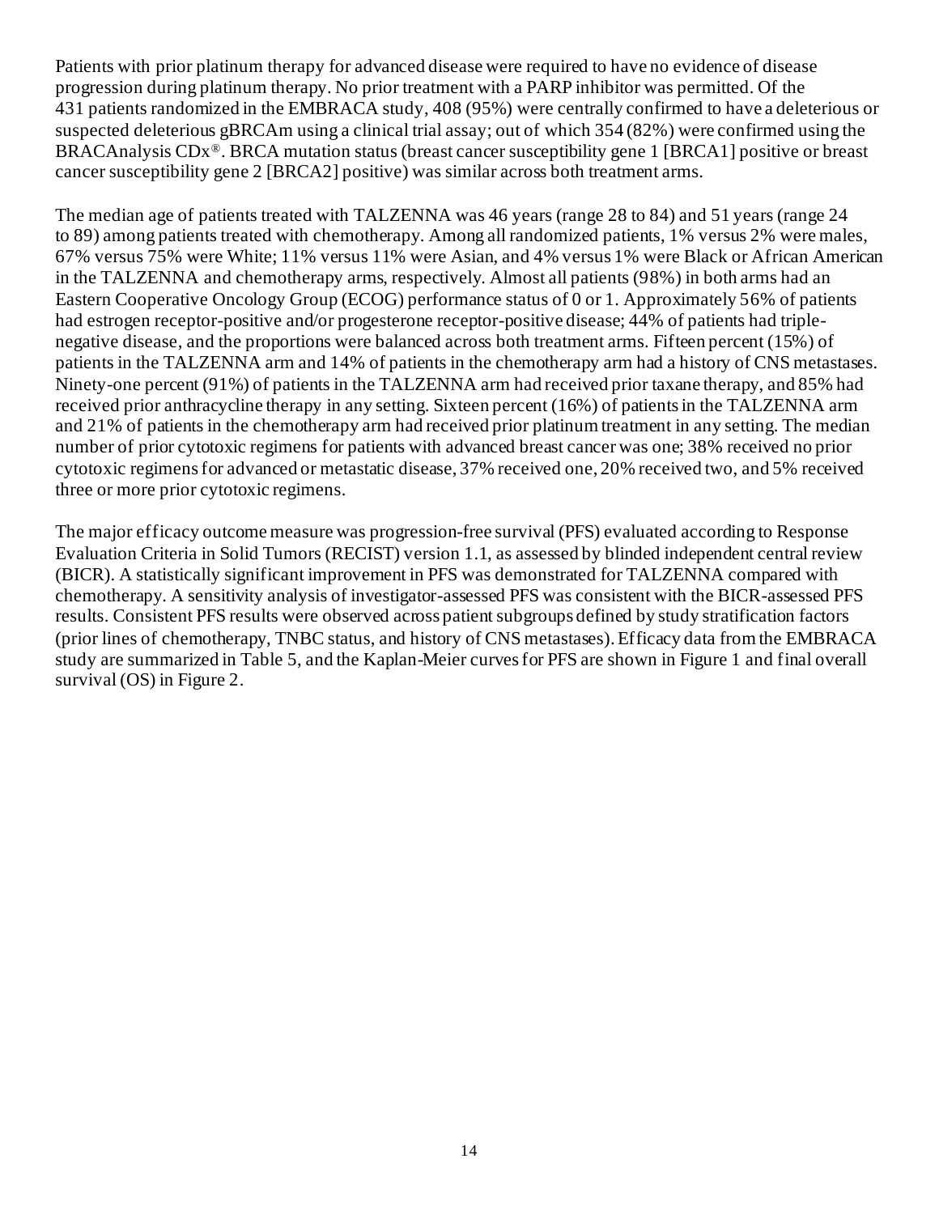Patients with prior platinum therapy for advanced disease were required to have no evidence of disease progression during platinum therapy. No prior treatment with a PARP inhibitor was permitted. Of the 431 patients randomized in the EMBRACA study, 408 (95%) were centrally confirmed to have a deleterious or suspected deleterious gBRCAm using a clinical trial assay; out of which 354 (82%) were confirmed using the BRACAnalysis CDx®. BRCA mutation status (breast cancer susceptibility gene 1 [BRCA1] positive or breast cancer susceptibility gene 2 [BRCA2] positive) was similar across both treatment arms.

The median age of patients treated with TALZENNA was 46 years (range 28 to 84) and 51 years (range 24 to 89) among patients treated with chemotherapy. Among all randomized patients, 1% versus 2% were males, 67% versus 75% were White; 11% versus 11% were Asian, and 4% versus 1% were Black or African American in the TALZENNA and chemotherapy arms, respectively. Almost all patients (98%) in both arms had an Eastern Cooperative Oncology Group (ECOG) performance status of 0 or 1. Approximately 56% of patients had estrogen receptor-positive and/or progesterone receptor-positive disease; 44% of patients had triplenegative disease, and the proportions were balanced across both treatment arms. Fifteen percent (15%) of patients in the TALZENNA arm and 14% of patients in the chemotherapy arm had a history of CNS metastases. Ninety-one percent (91%) of patients in the TALZENNA arm had received prior taxane therapy, and 85% had received prior anthracycline therapy in any setting. Sixteen percent (16%) of patients in the TALZENNA arm and 21% of patients in the chemotherapy arm had received prior platinum treatment in any setting. The median number of prior cytotoxic regimens for patients with advanced breast cancer was one; 38% received no prior cytotoxic regimens for advanced or metastatic disease, 37% received one, 20% received two, and 5% received three or more prior cytotoxic regimens.

The major efficacy outcome measure was progression-free survival (PFS) evaluated according to Response Evaluation Criteria in Solid Tumors (RECIST) version 1.1, as assessed by blinded independent central review (BICR). A statistically significant improvement in PFS was demonstrated for TALZENNA compared with chemotherapy. A sensitivity analysis of investigator-assessed PFS was consistent with the BICR-assessed PFS results. Consistent PFS results were observed across patient subgroups defined by study stratification factors (prior lines of chemotherapy, TNBC status, and history of CNS metastases).Efficacy data from the EMBRACA study are summarized in Table 5, and the Kaplan-Meier curves for PFS are shown in Figure 1 and final overall survival (OS) in Figure 2.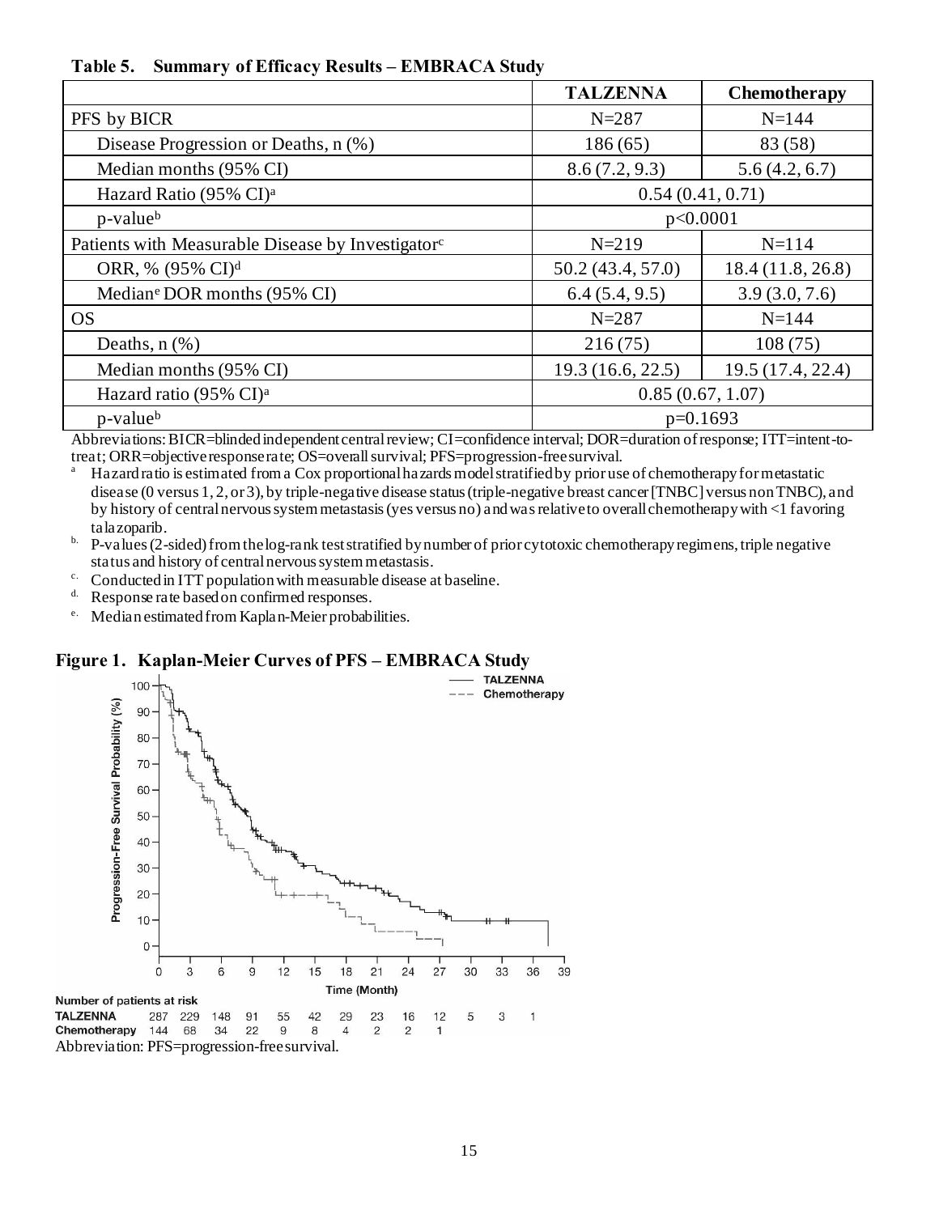**Table 5. Summary of Efficacy Results – EMBRACA Study**

|                                                               | <b>TALZENNA</b>  | <b>Chemotherapy</b> |
|---------------------------------------------------------------|------------------|---------------------|
| PFS by BICR                                                   | $N = 287$        | $N = 144$           |
| Disease Progression or Deaths, n (%)                          | 186(65)          | 83 (58)             |
| Median months (95% CI)                                        | 8.6(7.2, 9.3)    | 5.6(4.2, 6.7)       |
| Hazard Ratio (95% CI) <sup>a</sup>                            |                  | 0.54(0.41, 0.71)    |
| p-value <sup>b</sup>                                          |                  | p<0.0001            |
| Patients with Measurable Disease by Investigator <sup>c</sup> | $N = 219$        | $N=114$             |
| ORR, % (95% CI) <sup>d</sup>                                  | 50.2(43.4, 57.0) | 18.4(11.8, 26.8)    |
| Median <sup>e</sup> DOR months (95% CI)                       | 6.4(5.4, 9.5)    | 3.9(3.0, 7.6)       |
| <b>OS</b>                                                     | $N = 287$        | $N = 144$           |
| Deaths, $n$ $(\%)$                                            | 216(75)          | 108(75)             |
| Median months (95% CI)                                        | 19.3(16.6, 22.5) | 19.5 (17.4, 22.4)   |
| Hazard ratio (95% CI) <sup>a</sup>                            | 0.85(0.67, 1.07) |                     |
| p-value <sup>b</sup>                                          | $p=0.1693$       |                     |

Abbreviations: BICR=blinded independent central review; CI=confidence interval; DOR=duration of response; ITT=intent-totreat; ORR=objective response rate; OS=overall survival; PFS=progression-free survival.

<sup>a</sup> Hazard ratio is estimated from a Cox proportional hazards model stratified by prior use of chemotherapy for metastatic disease (0 versus 1, 2, or 3), by triple-negative disease status (triple-negative breast cancer [TNBC] versus non TNBC), and by history of central nervous system metastasis (yes versus no) and was relative to overall chemotherapy with <1 favoring talazoparib.

- $h$ . P-values (2-sided) from the log-rank test stratified by number of prior cytotoxic chemotherapy regimens, triple negative status and history of central nervous system metastasis.
- <sup>c.</sup> Conducted in ITT population with measurable disease at baseline.<br> $\frac{d}{dx}$  Response rate based on confirmed responses
- Response rate based on confirmed responses.
- e. Medianestimated from Kaplan-Meier probabilities.

#### **Figure 1. Kaplan-Meier Curves of PFS – EMBRACA Study**

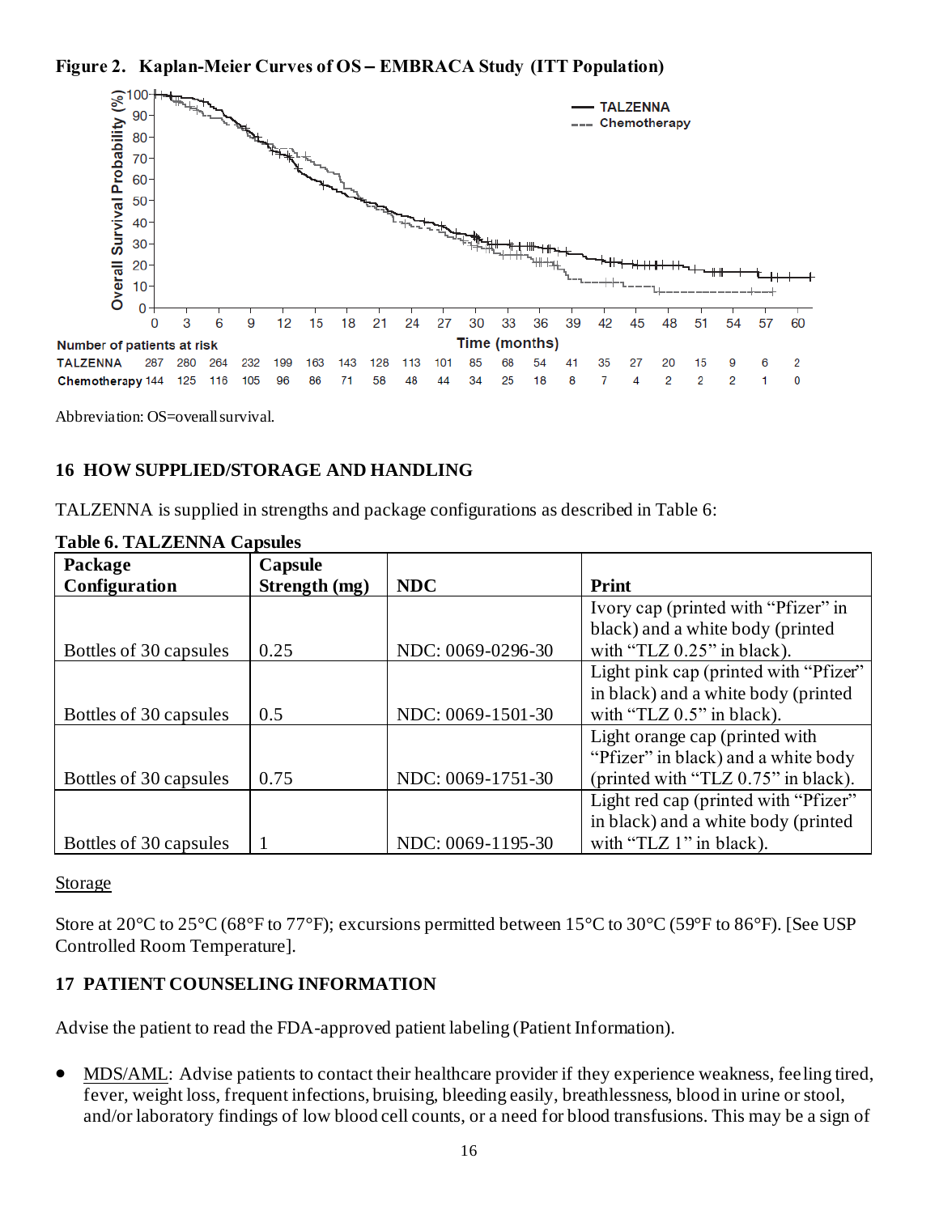**Figure 2. Kaplan-Meier Curves of OS – EMBRACA Study (ITT Population)**



Abbreviation: OS=overall survival.

## **16 HOW SUPPLIED/STORAGE AND HANDLING**

TALZENNA is supplied in strengths and package configurations as described in Table 6:

| Package                | Capsule       |                   |                                       |
|------------------------|---------------|-------------------|---------------------------------------|
| Configuration          | Strength (mg) | <b>NDC</b>        | <b>Print</b>                          |
|                        |               |                   | Ivory cap (printed with "Pfizer" in   |
|                        |               |                   | black) and a white body (printed      |
| Bottles of 30 capsules | 0.25          | NDC: 0069-0296-30 | with "TLZ $0.25$ " in black).         |
|                        |               |                   | Light pink cap (printed with "Pfizer" |
|                        |               |                   | in black) and a white body (printed   |
| Bottles of 30 capsules | 0.5           | NDC: 0069-1501-30 | with "TLZ $0.5$ " in black).          |
|                        |               |                   | Light orange cap (printed with        |
|                        |               |                   | "Pfizer" in black) and a white body   |
| Bottles of 30 capsules | 0.75          | NDC: 0069-1751-30 | (printed with "TLZ 0.75" in black).   |
|                        |               |                   | Light red cap (printed with "Pfizer"  |
|                        |               |                   | in black) and a white body (printed   |
| Bottles of 30 capsules |               | NDC: 0069-1195-30 | with "TLZ $1$ " in black).            |

## **Table 6. TALZENNA Capsules**

#### Storage

Store at 20°C to 25°C (68°F to 77°F); excursions permitted between 15°C to 30°C (59°F to 86°F). [See USP Controlled Room Temperature].

# **17 PATIENT COUNSELING INFORMATION**

Advise the patient to read the FDA-approved patient labeling (Patient Information).

• MDS/AML: Advise patients to contact their healthcare provider if they experience weakness, feeling tired, fever, weight loss, frequent infections, bruising, bleeding easily, breathlessness, blood in urine or stool, and/or laboratory findings of low blood cell counts, or a need for blood transfusions. This may be a sign of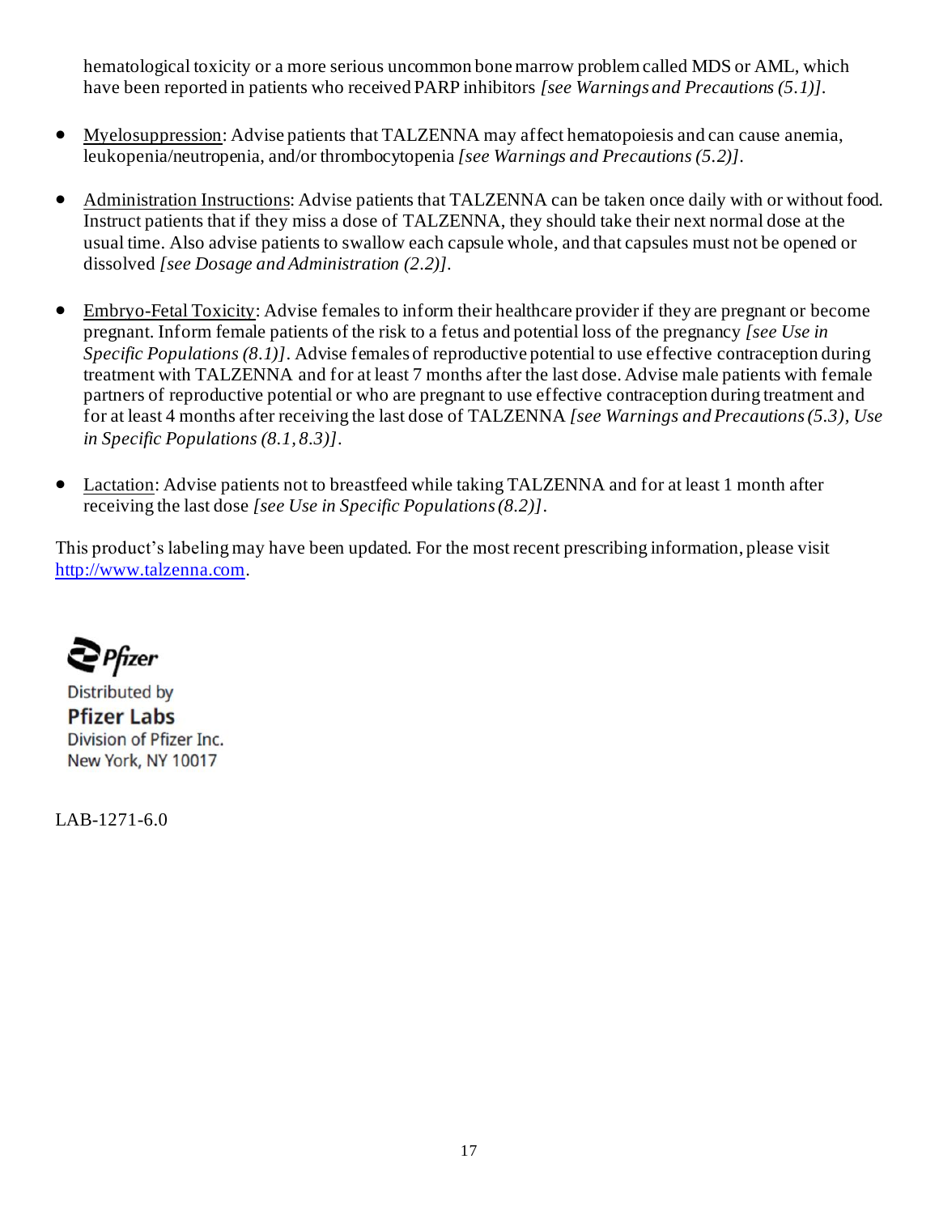hematological toxicity or a more serious uncommon bone marrow problem called MDS or AML, which have been reported in patients who received PARP inhibitors *[see Warnings and Precautions (5.1)]*.

- Myelosuppression: Advise patients that TALZENNA may affect hematopoiesis and can cause anemia, leukopenia/neutropenia, and/or thrombocytopenia *[see Warnings and Precautions (5.2)]*.
- Administration Instructions: Advise patients that TALZENNA can be taken once daily with or without food. Instruct patients that if they miss a dose of TALZENNA, they should take their next normal dose at the usual time. Also advise patients to swallow each capsule whole, and that capsules must not be opened or dissolved *[see Dosage and Administration (2.2)]*.
- Embryo-Fetal Toxicity: Advise females to inform their healthcare provider if they are pregnant or become pregnant. Inform female patients of the risk to a fetus and potential loss of the pregnancy *[see Use in Specific Populations (8.1)].* Advise females of reproductive potential to use effective contraception during treatment with TALZENNA and for at least 7 months after the last dose. Advise male patients with female partners of reproductive potential or who are pregnant to use effective contraception during treatment and for at least 4 months after receiving the last dose of TALZENNA *[see Warnings and Precautions (5.3), Use in Specific Populations (8.1, 8.3)]*.
- Lactation: Advise patients not to breastfeed while taking TALZENNA and for at least 1 month after receiving the last dose *[see Use in Specific Populations (8.2)]*.

This product's labeling may have been updated. For the most recent prescribing information, please visit [http://www.talzenna.com](http://www.talzenna.com/).

**∈** Pfizer

**Distributed by Pfizer Labs** Division of Pfizer Inc. New York, NY 10017

LAB-1271-6.0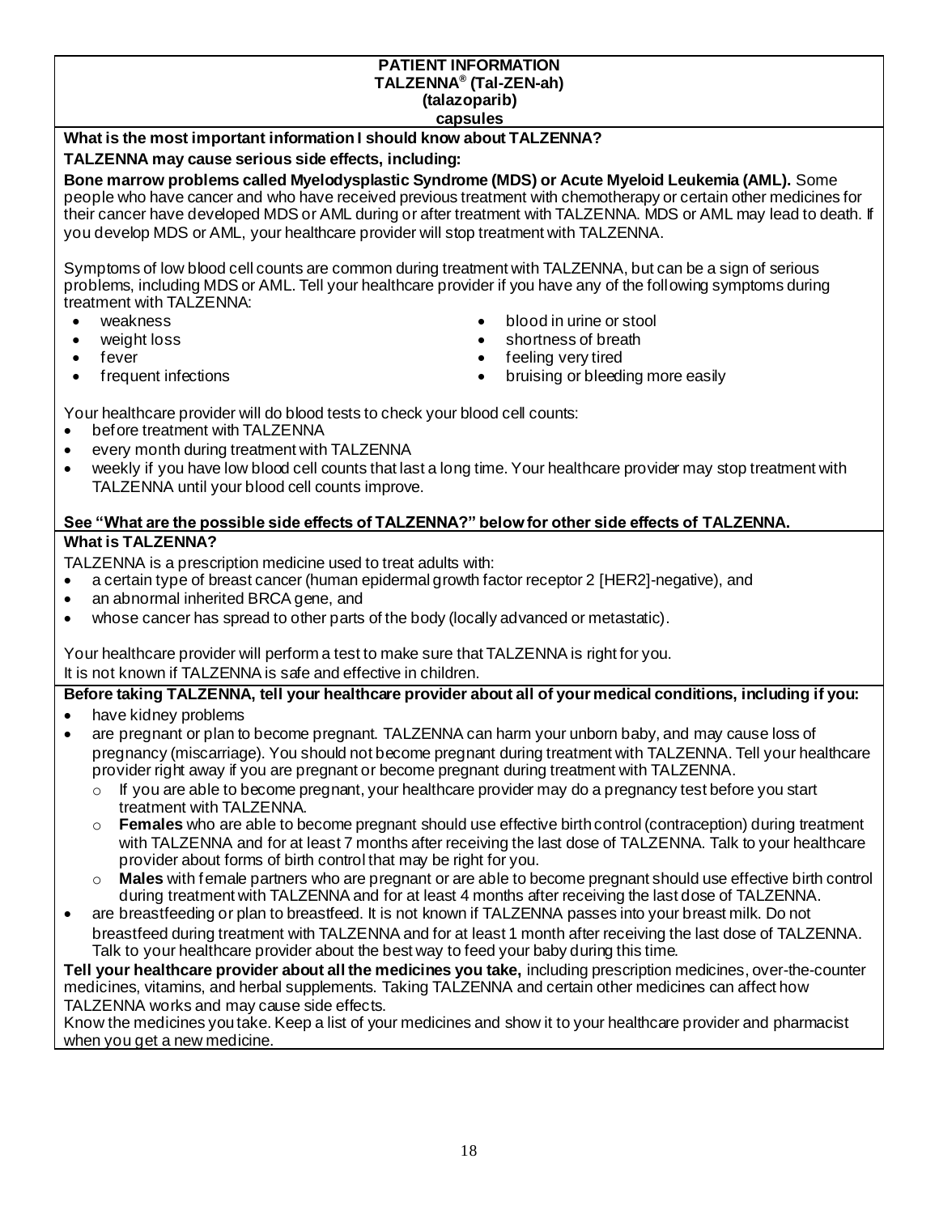#### **PATIENT INFORMATION TALZENNA® (Tal-ZEN-ah) (talazoparib) capsules**

### **What is the most important information I should know about TALZENNA?**

#### **TALZENNA may cause serious side effects, including:**

**Bone marrow problems called Myelodysplastic Syndrome (MDS) or Acute Myeloid Leukemia (AML).** Some people who have cancer and who have received previous treatment with chemotherapy or certain other medicines for their cancer have developed MDS or AML during or after treatment with TALZENNA. MDS or AML may lead to death. If you develop MDS or AML, your healthcare provider will stop treatment with TALZENNA.

Symptoms of low blood cell counts are common during treatment with TALZENNA, but can be a sign of serious problems, including MDS or AML. Tell your healthcare provider if you have any of the following symptoms during treatment with TALZENNA:

- 
- 
- 
- 
- weakness blood in urine or stool
- weight loss shortness of breath
- fever **•** feeling very tired
- frequent infections **•** bruising or bleeding more easily

Your healthcare provider will do blood tests to check your blood cell counts:

- before treatment with TALZENNA
- every month during treatment with TALZENNA
- weekly if you have low blood cell counts that last a long time. Your healthcare provider may stop treatment with TALZENNA until your blood cell counts improve.

#### **See "What are the possible side effects of TALZENNA?" below for other side effects of TALZENNA. What is TALZENNA?**

TALZENNA is a prescription medicine used to treat adults with:

- a certain type of breast cancer (human epidermal growth factor receptor 2 [HER2]-negative), and
- an abnormal inherited BRCA gene, and
- whose cancer has spread to other parts of the body (locally advanced or metastatic).

Your healthcare provider will perform a test to make sure that TALZENNA is right for you. It is not known if TALZENNA is safe and effective in children.

**Before taking TALZENNA, tell your healthcare provider about all of your medical conditions, including if you:**

- have kidney problems
- are pregnant or plan to become pregnant. TALZENNA can harm your unborn baby, and may cause loss of pregnancy (miscarriage). You should not become pregnant during treatment with TALZENNA. Tell your healthcare provider right away if you are pregnant or become pregnant during treatment with TALZENNA.
	- $\circ$  If you are able to become pregnant, your healthcare provider may do a pregnancy test before you start treatment with TALZENNA.
	- o **Females** who are able to become pregnant should use effective birth control (contraception) during treatment with TALZENNA and for at least 7 months after receiving the last dose of TALZENNA. Talk to your healthcare provider about forms of birth control that may be right for you.
	- o **Males** with female partners who are pregnant or are able to become pregnant should use effective birth control during treatment with TALZENNA and for at least 4 months after receiving the last dose of TALZENNA.
- are breastfeeding or plan to breastfeed. It is not known if TALZENNA passes into your breast milk. Do not breastfeed during treatment with TALZENNA and for at least 1 month after receiving the last dose of TALZENNA. Talk to your healthcare provider about the best way to feed your baby during this time.

**Tell your healthcare provider about all the medicines you take,** including prescription medicines, over-the-counter medicines, vitamins, and herbal supplements. Taking TALZENNA and certain other medicines can affect how TALZENNA works and may cause side effects.

Know the medicines you take. Keep a list of your medicines and show it to your healthcare provider and pharmacist when you get a new medicine.